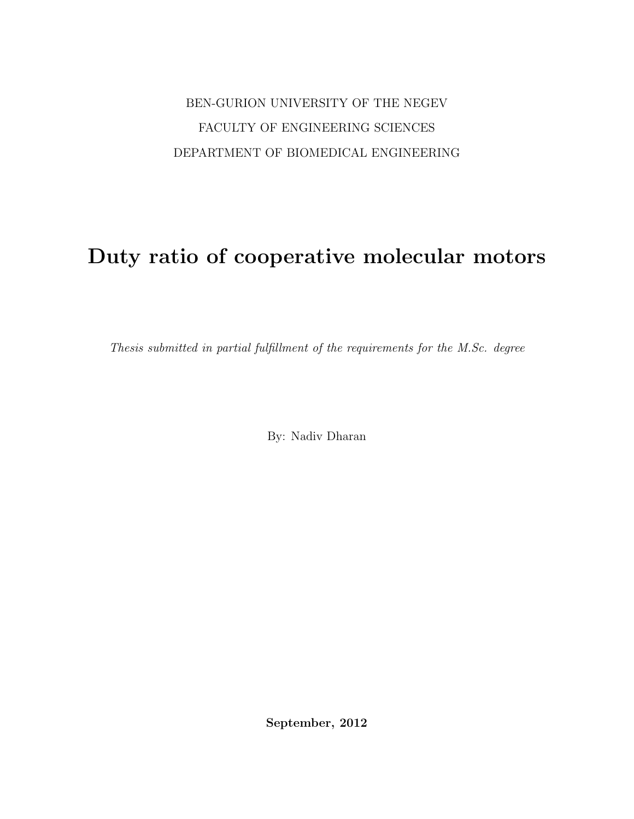## BEN-GURION UNIVERSITY OF THE NEGEV FACULTY OF ENGINEERING SCIENCES DEPARTMENT OF BIOMEDICAL ENGINEERING

# Duty ratio of cooperative molecular motors

Thesis submitted in partial fulfillment of the requirements for the M.Sc. degree

By: Nadiv Dharan

September, 2012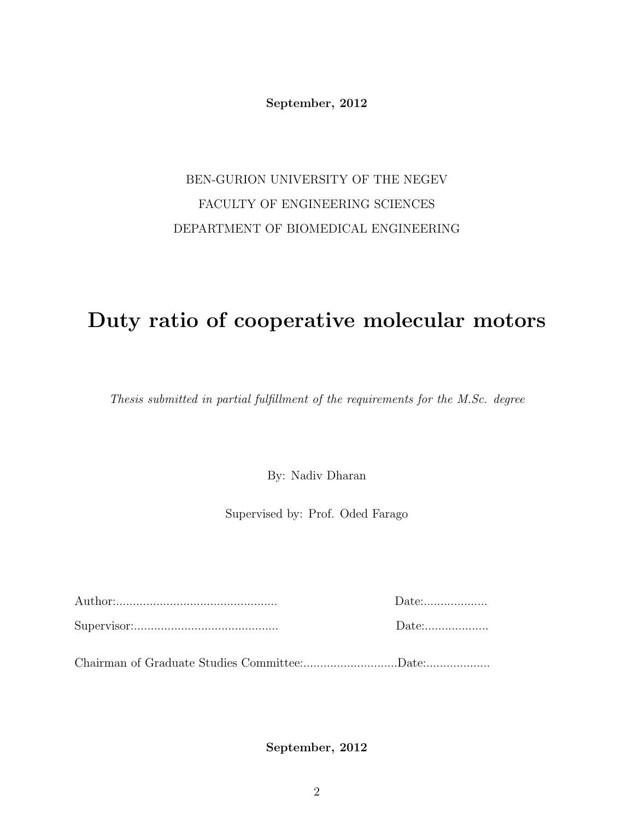September, 2012

## BEN-GURION UNIVERSITY OF THE NEGEV FACULTY OF ENGINEERING SCIENCES DEPARTMENT OF BIOMEDICAL ENGINEERING

## Duty ratio of cooperative molecular motors

Thesis submitted in partial fulfillment of the requirements for the M.Sc. degree

By: Nadiv Dharan

Supervised by: Prof. Oded Farago

| Date: |
|-------|
| Date: |
|       |

September, 2012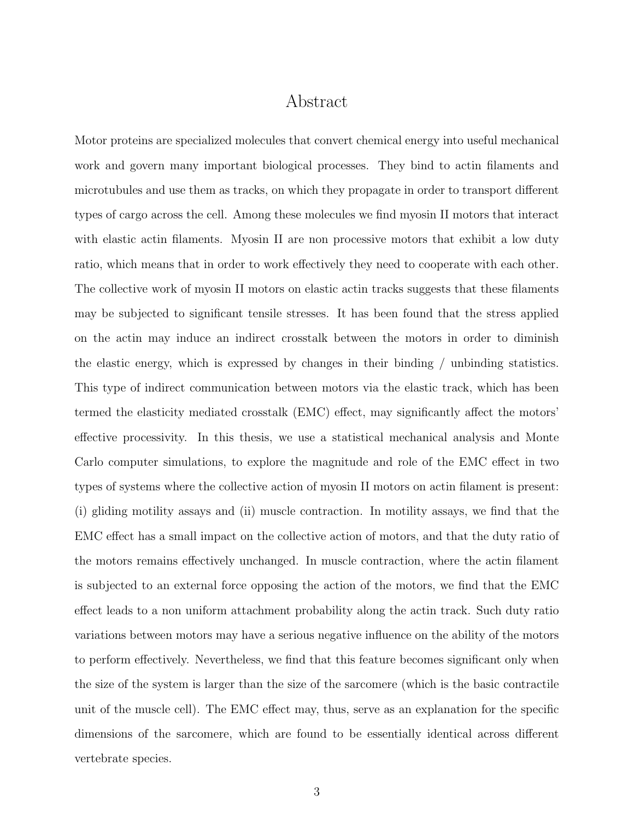#### Abstract

Motor proteins are specialized molecules that convert chemical energy into useful mechanical work and govern many important biological processes. They bind to actin filaments and microtubules and use them as tracks, on which they propagate in order to transport different types of cargo across the cell. Among these molecules we find myosin II motors that interact with elastic actin filaments. Myosin II are non processive motors that exhibit a low duty ratio, which means that in order to work effectively they need to cooperate with each other. The collective work of myosin II motors on elastic actin tracks suggests that these filaments may be subjected to significant tensile stresses. It has been found that the stress applied on the actin may induce an indirect crosstalk between the motors in order to diminish the elastic energy, which is expressed by changes in their binding / unbinding statistics. This type of indirect communication between motors via the elastic track, which has been termed the elasticity mediated crosstalk (EMC) effect, may significantly affect the motors' effective processivity. In this thesis, we use a statistical mechanical analysis and Monte Carlo computer simulations, to explore the magnitude and role of the EMC effect in two types of systems where the collective action of myosin II motors on actin filament is present: (i) gliding motility assays and (ii) muscle contraction. In motility assays, we find that the EMC effect has a small impact on the collective action of motors, and that the duty ratio of the motors remains effectively unchanged. In muscle contraction, where the actin filament is subjected to an external force opposing the action of the motors, we find that the EMC effect leads to a non uniform attachment probability along the actin track. Such duty ratio variations between motors may have a serious negative influence on the ability of the motors to perform effectively. Nevertheless, we find that this feature becomes significant only when the size of the system is larger than the size of the sarcomere (which is the basic contractile unit of the muscle cell). The EMC effect may, thus, serve as an explanation for the specific dimensions of the sarcomere, which are found to be essentially identical across different vertebrate species.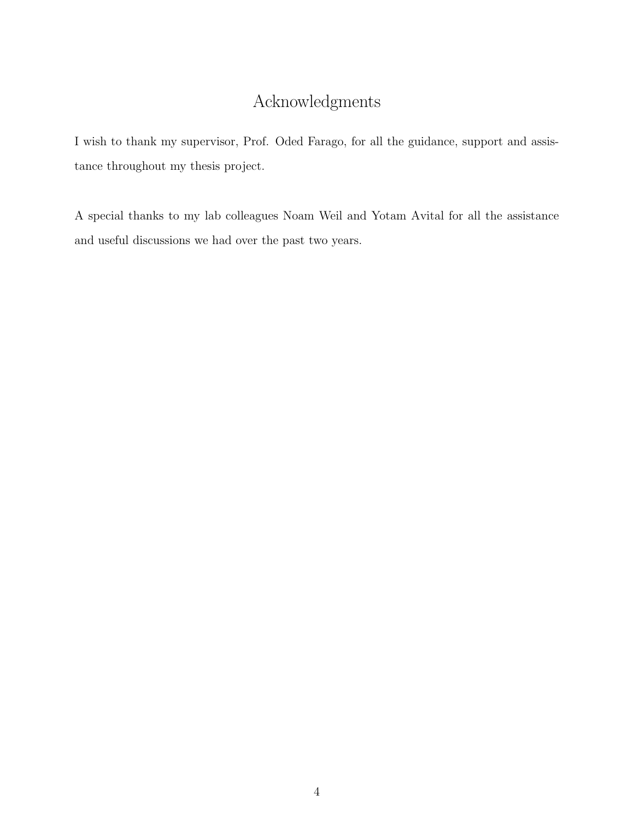## Acknowledgments

I wish to thank my supervisor, Prof. Oded Farago, for all the guidance, support and assistance throughout my thesis project.

A special thanks to my lab colleagues Noam Weil and Yotam Avital for all the assistance and useful discussions we had over the past two years.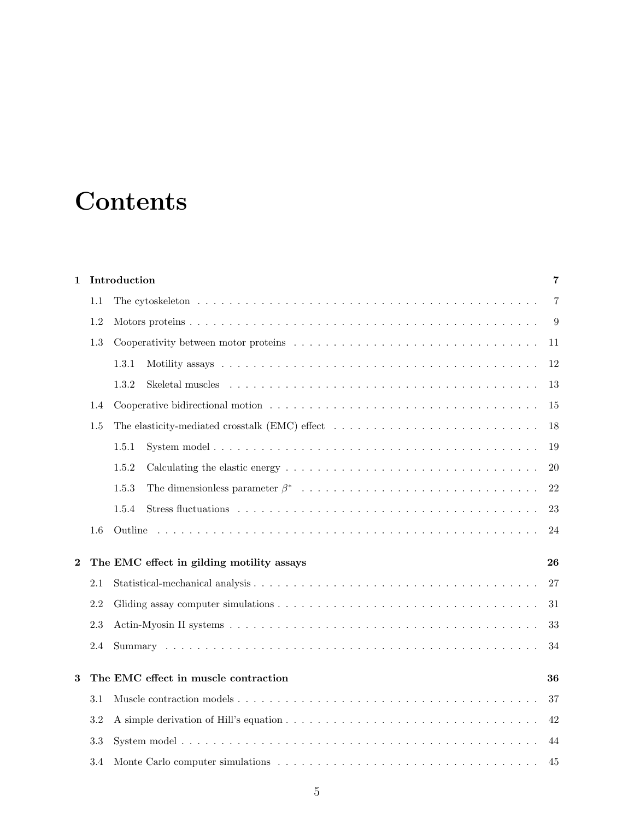# **Contents**

| 1              |     | Introduction                                                                                                       | 7              |
|----------------|-----|--------------------------------------------------------------------------------------------------------------------|----------------|
|                | 1.1 |                                                                                                                    | $\overline{7}$ |
|                | 1.2 |                                                                                                                    | 9              |
|                | 1.3 |                                                                                                                    | 11             |
|                |     | 1.3.1                                                                                                              | 12             |
|                |     | 1.3.2                                                                                                              | 13             |
|                | 1.4 |                                                                                                                    | 15             |
|                | 1.5 | The elasticity-mediated crosstalk (EMC) effect $\dots \dots \dots \dots \dots \dots \dots \dots \dots \dots \dots$ | 18             |
|                |     | 1.5.1                                                                                                              | 19             |
|                |     | 1.5.2                                                                                                              | 20             |
|                |     | 1.5.3                                                                                                              | 22             |
|                |     | 1.5.4                                                                                                              | 23             |
|                | 1.6 |                                                                                                                    | 24             |
| $\overline{2}$ |     | The EMC effect in gilding motility assays                                                                          | 26             |
|                | 2.1 |                                                                                                                    | 27             |
|                | 2.2 |                                                                                                                    | 31             |
|                | 2.3 |                                                                                                                    | 33             |
|                | 2.4 |                                                                                                                    | 34             |
| 3              |     | The EMC effect in muscle contraction                                                                               | 36             |
|                | 3.1 |                                                                                                                    | 37             |
|                | 3.2 |                                                                                                                    | 42             |
|                | 3.3 |                                                                                                                    | 44             |
|                | 3.4 |                                                                                                                    | 45             |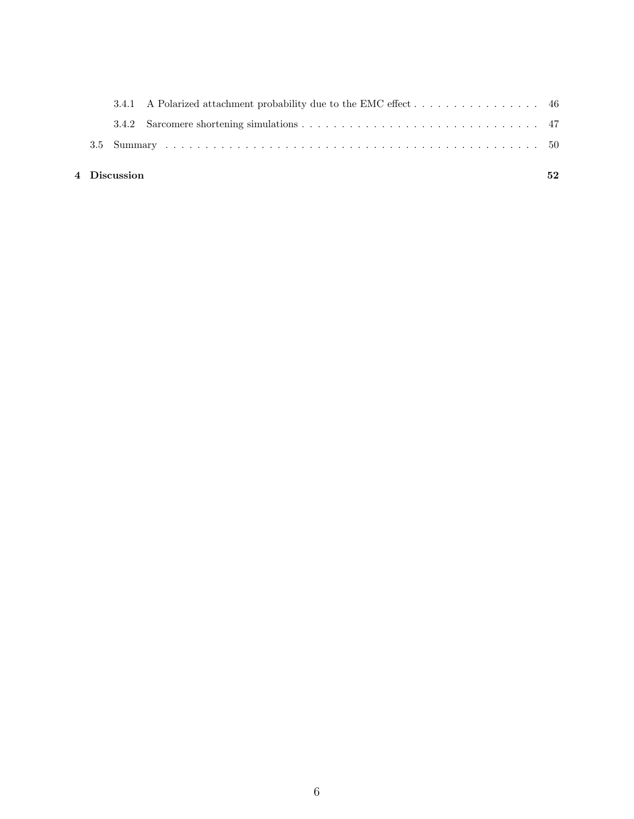|  | 3.4.1 A Polarized attachment probability due to the EMC effect 46 |  |
|--|-------------------------------------------------------------------|--|
|  |                                                                   |  |
|  |                                                                   |  |
|  |                                                                   |  |

#### 4 Discussion 52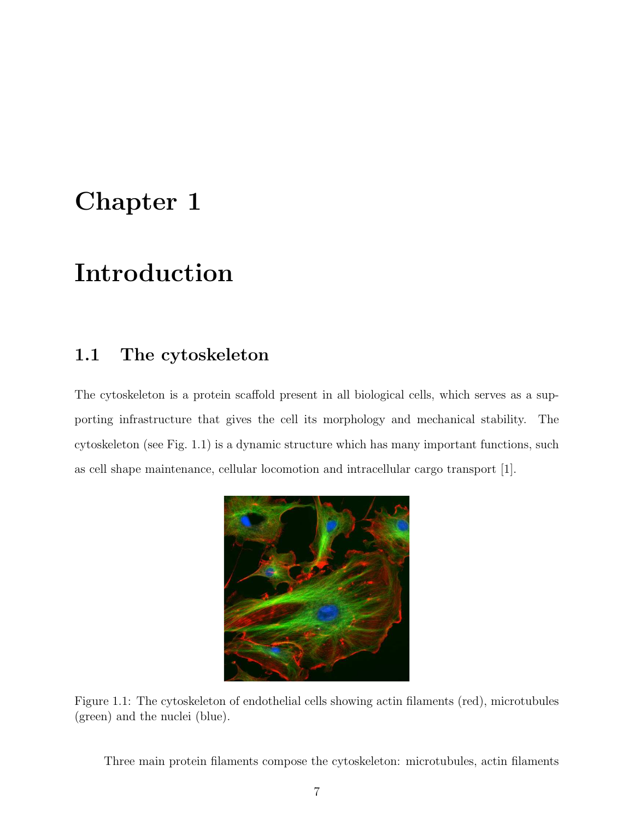# Chapter 1

# Introduction

## 1.1 The cytoskeleton

The cytoskeleton is a protein scaffold present in all biological cells, which serves as a supporting infrastructure that gives the cell its morphology and mechanical stability. The cytoskeleton (see Fig. 1.1) is a dynamic structure which has many important functions, such as cell shape maintenance, cellular locomotion and intracellular cargo transport [1].



Figure 1.1: The cytoskeleton of endothelial cells showing actin filaments (red), microtubules (green) and the nuclei (blue).

Three main protein filaments compose the cytoskeleton: microtubules, actin filaments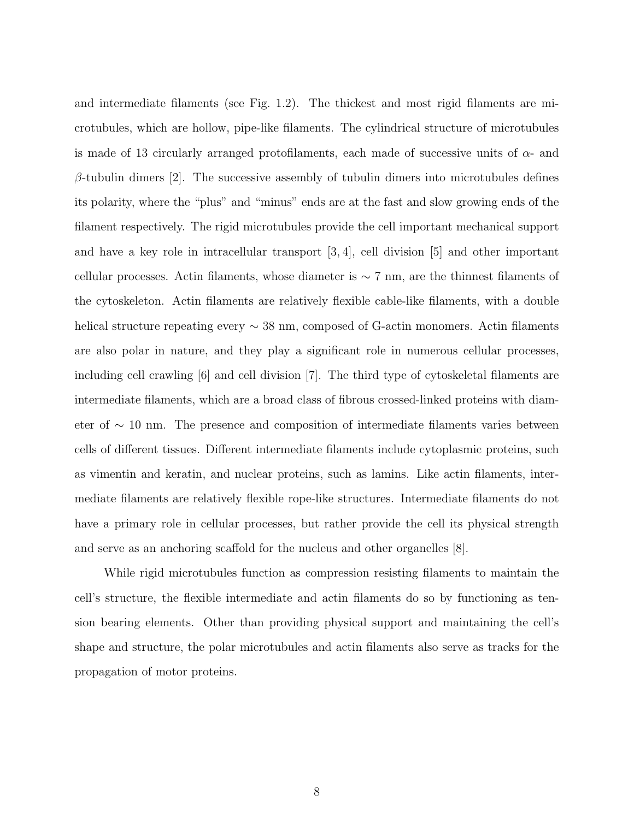and intermediate filaments (see Fig. 1.2). The thickest and most rigid filaments are microtubules, which are hollow, pipe-like filaments. The cylindrical structure of microtubules is made of 13 circularly arranged protofilaments, each made of successive units of  $\alpha$ - and  $\beta$ -tubulin dimers [2]. The successive assembly of tubulin dimers into microtubules defines its polarity, where the "plus" and "minus" ends are at the fast and slow growing ends of the filament respectively. The rigid microtubules provide the cell important mechanical support and have a key role in intracellular transport [3, 4], cell division [5] and other important cellular processes. Actin filaments, whose diameter is ∼ 7 nm, are the thinnest filaments of the cytoskeleton. Actin filaments are relatively flexible cable-like filaments, with a double helical structure repeating every ∼ 38 nm, composed of G-actin monomers. Actin filaments are also polar in nature, and they play a significant role in numerous cellular processes, including cell crawling [6] and cell division [7]. The third type of cytoskeletal filaments are intermediate filaments, which are a broad class of fibrous crossed-linked proteins with diameter of ∼ 10 nm. The presence and composition of intermediate filaments varies between cells of different tissues. Different intermediate filaments include cytoplasmic proteins, such as vimentin and keratin, and nuclear proteins, such as lamins. Like actin filaments, intermediate filaments are relatively flexible rope-like structures. Intermediate filaments do not have a primary role in cellular processes, but rather provide the cell its physical strength and serve as an anchoring scaffold for the nucleus and other organelles [8].

While rigid microtubules function as compression resisting filaments to maintain the cell's structure, the flexible intermediate and actin filaments do so by functioning as tension bearing elements. Other than providing physical support and maintaining the cell's shape and structure, the polar microtubules and actin filaments also serve as tracks for the propagation of motor proteins.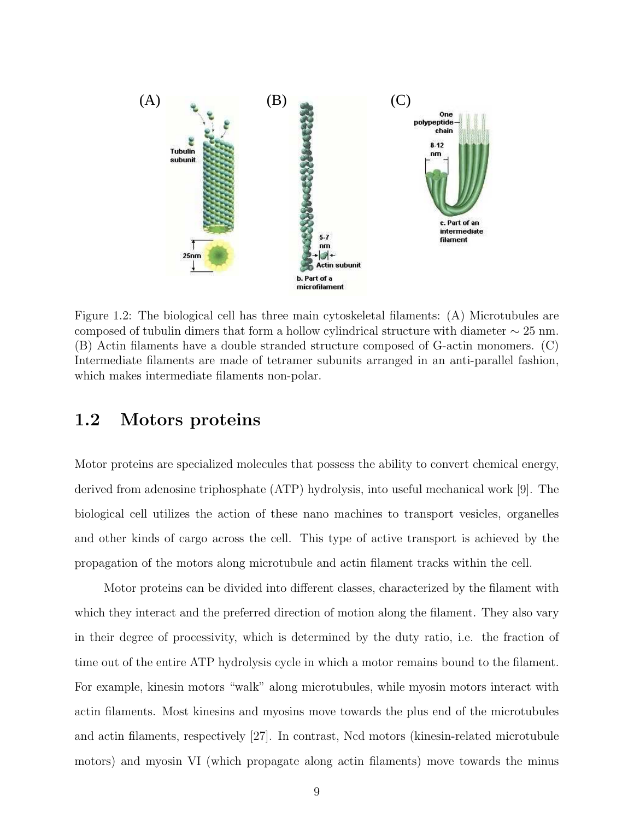

Figure 1.2: The biological cell has three main cytoskeletal filaments: (A) Microtubules are composed of tubulin dimers that form a hollow cylindrical structure with diameter  $\sim 25$  nm. (B) Actin filaments have a double stranded structure composed of G-actin monomers. (C) Intermediate filaments are made of tetramer subunits arranged in an anti-parallel fashion, which makes intermediate filaments non-polar.

#### 1.2 Motors proteins

Motor proteins are specialized molecules that possess the ability to convert chemical energy, derived from adenosine triphosphate (ATP) hydrolysis, into useful mechanical work [9]. The biological cell utilizes the action of these nano machines to transport vesicles, organelles and other kinds of cargo across the cell. This type of active transport is achieved by the propagation of the motors along microtubule and actin filament tracks within the cell.

Motor proteins can be divided into different classes, characterized by the filament with which they interact and the preferred direction of motion along the filament. They also vary in their degree of processivity, which is determined by the duty ratio, i.e. the fraction of time out of the entire ATP hydrolysis cycle in which a motor remains bound to the filament. For example, kinesin motors "walk" along microtubules, while myosin motors interact with actin filaments. Most kinesins and myosins move towards the plus end of the microtubules and actin filaments, respectively [27]. In contrast, Ncd motors (kinesin-related microtubule motors) and myosin VI (which propagate along actin filaments) move towards the minus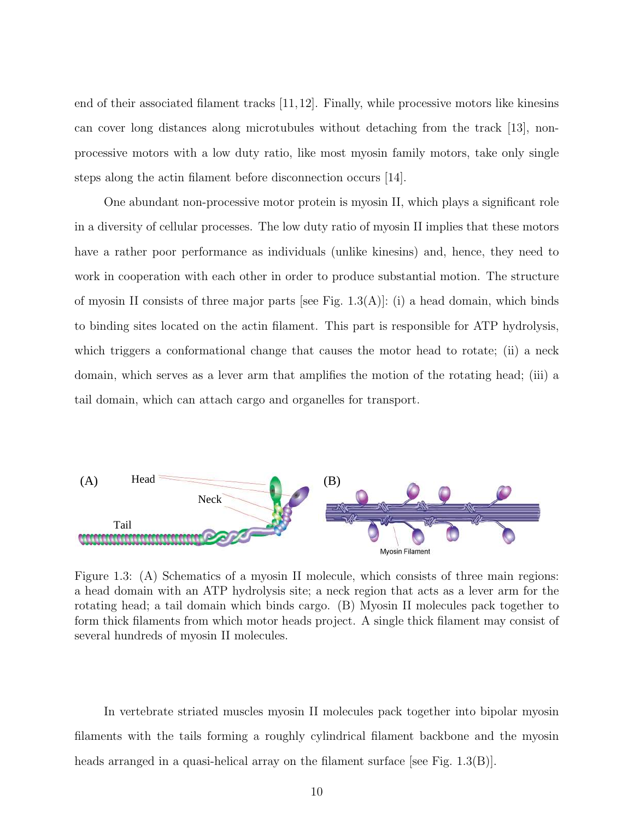end of their associated filament tracks [11,12]. Finally, while processive motors like kinesins can cover long distances along microtubules without detaching from the track [13], nonprocessive motors with a low duty ratio, like most myosin family motors, take only single steps along the actin filament before disconnection occurs [14].

One abundant non-processive motor protein is myosin II, which plays a significant role in a diversity of cellular processes. The low duty ratio of myosin II implies that these motors have a rather poor performance as individuals (unlike kinesins) and, hence, they need to work in cooperation with each other in order to produce substantial motion. The structure of myosin II consists of three major parts [see Fig.  $1.3(A)$ ]: (i) a head domain, which binds to binding sites located on the actin filament. This part is responsible for ATP hydrolysis, which triggers a conformational change that causes the motor head to rotate; (ii) a neck domain, which serves as a lever arm that amplifies the motion of the rotating head; (iii) a tail domain, which can attach cargo and organelles for transport.



Figure 1.3: (A) Schematics of a myosin II molecule, which consists of three main regions: a head domain with an ATP hydrolysis site; a neck region that acts as a lever arm for the rotating head; a tail domain which binds cargo. (B) Myosin II molecules pack together to form thick filaments from which motor heads project. A single thick filament may consist of several hundreds of myosin II molecules.

In vertebrate striated muscles myosin II molecules pack together into bipolar myosin filaments with the tails forming a roughly cylindrical filament backbone and the myosin heads arranged in a quasi-helical array on the filament surface [see Fig. 1.3(B)].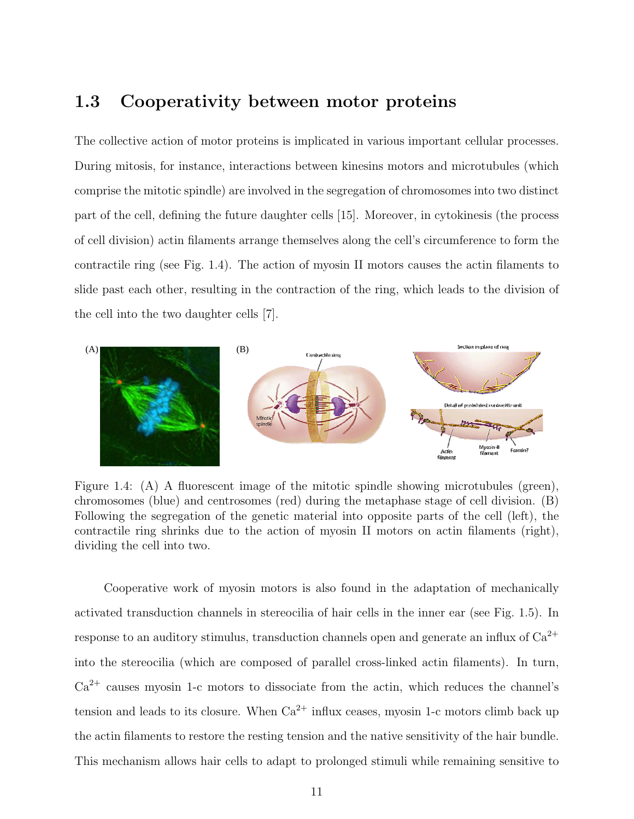## 1.3 Cooperativity between motor proteins

The collective action of motor proteins is implicated in various important cellular processes. During mitosis, for instance, interactions between kinesins motors and microtubules (which comprise the mitotic spindle) are involved in the segregation of chromosomes into two distinct part of the cell, defining the future daughter cells [15]. Moreover, in cytokinesis (the process of cell division) actin filaments arrange themselves along the cell's circumference to form the contractile ring (see Fig. 1.4). The action of myosin II motors causes the actin filaments to slide past each other, resulting in the contraction of the ring, which leads to the division of the cell into the two daughter cells [7].



Figure 1.4: (A) A fluorescent image of the mitotic spindle showing microtubules (green), chromosomes (blue) and centrosomes (red) during the metaphase stage of cell division. (B) Following the segregation of the genetic material into opposite parts of the cell (left), the contractile ring shrinks due to the action of myosin II motors on actin filaments (right), dividing the cell into two.

Cooperative work of myosin motors is also found in the adaptation of mechanically activated transduction channels in stereocilia of hair cells in the inner ear (see Fig. 1.5). In response to an auditory stimulus, transduction channels open and generate an influx of  $\text{Ca}^{2+}$ into the stereocilia (which are composed of parallel cross-linked actin filaments). In turn,  $Ca^{2+}$  causes myosin 1-c motors to dissociate from the actin, which reduces the channel's tension and leads to its closure. When  $Ca^{2+}$  influx ceases, myosin 1-c motors climb back up the actin filaments to restore the resting tension and the native sensitivity of the hair bundle. This mechanism allows hair cells to adapt to prolonged stimuli while remaining sensitive to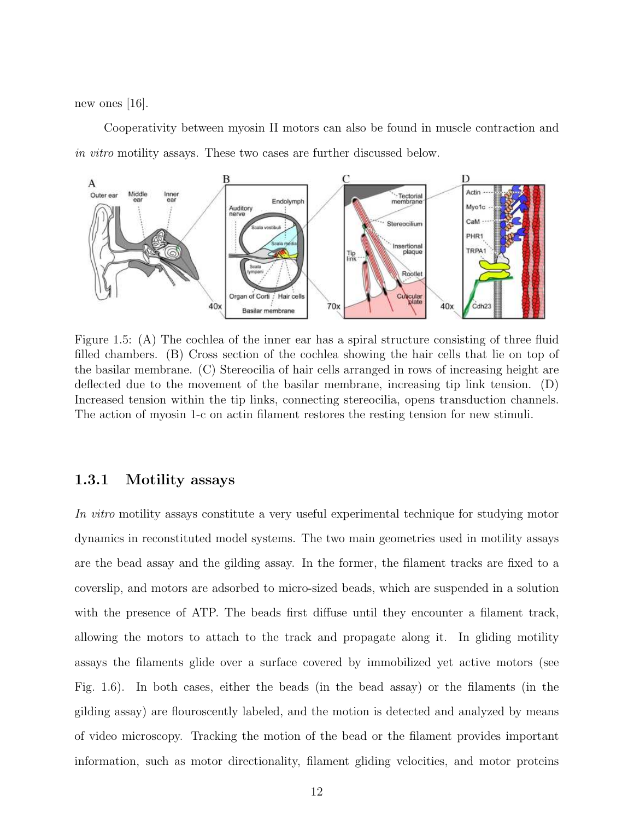new ones [16].

Cooperativity between myosin II motors can also be found in muscle contraction and in vitro motility assays. These two cases are further discussed below.



Figure 1.5: (A) The cochlea of the inner ear has a spiral structure consisting of three fluid filled chambers. (B) Cross section of the cochlea showing the hair cells that lie on top of the basilar membrane. (C) Stereocilia of hair cells arranged in rows of increasing height are deflected due to the movement of the basilar membrane, increasing tip link tension. (D) Increased tension within the tip links, connecting stereocilia, opens transduction channels. The action of myosin 1-c on actin filament restores the resting tension for new stimuli.

#### 1.3.1 Motility assays

In vitro motility assays constitute a very useful experimental technique for studying motor dynamics in reconstituted model systems. The two main geometries used in motility assays are the bead assay and the gilding assay. In the former, the filament tracks are fixed to a coverslip, and motors are adsorbed to micro-sized beads, which are suspended in a solution with the presence of ATP. The beads first diffuse until they encounter a filament track, allowing the motors to attach to the track and propagate along it. In gliding motility assays the filaments glide over a surface covered by immobilized yet active motors (see Fig. 1.6). In both cases, either the beads (in the bead assay) or the filaments (in the gilding assay) are flouroscently labeled, and the motion is detected and analyzed by means of video microscopy. Tracking the motion of the bead or the filament provides important information, such as motor directionality, filament gliding velocities, and motor proteins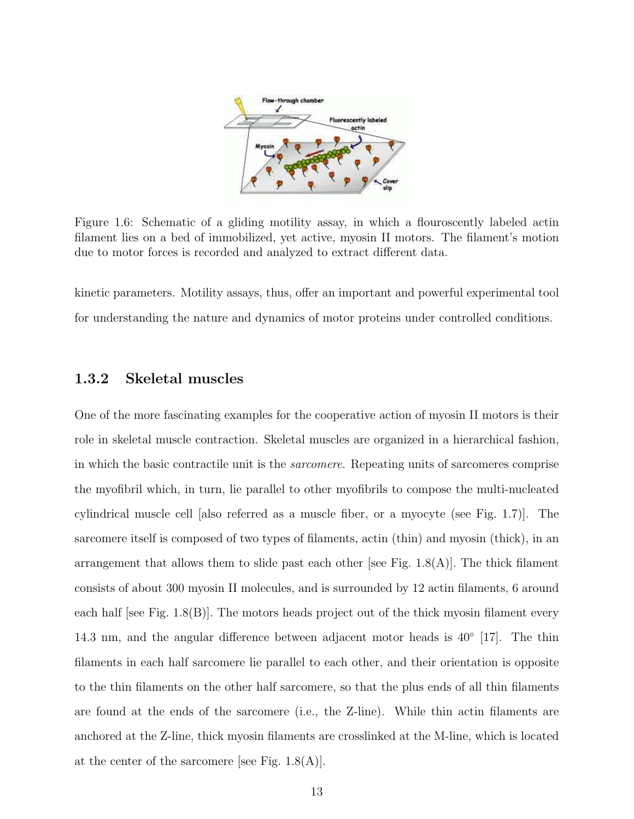

Figure 1.6: Schematic of a gliding motility assay, in which a flouroscently labeled actin filament lies on a bed of immobilized, yet active, myosin II motors. The filament's motion due to motor forces is recorded and analyzed to extract different data.

kinetic parameters. Motility assays, thus, offer an important and powerful experimental tool for understanding the nature and dynamics of motor proteins under controlled conditions.

#### 1.3.2 Skeletal muscles

One of the more fascinating examples for the cooperative action of myosin II motors is their role in skeletal muscle contraction. Skeletal muscles are organized in a hierarchical fashion, in which the basic contractile unit is the sarcomere. Repeating units of sarcomeres comprise the myofibril which, in turn, lie parallel to other myofibrils to compose the multi-nucleated cylindrical muscle cell [also referred as a muscle fiber, or a myocyte (see Fig. 1.7)]. The sarcomere itself is composed of two types of filaments, actin (thin) and myosin (thick), in an arrangement that allows them to slide past each other [see Fig.  $1.8(A)$ ]. The thick filament consists of about 300 myosin II molecules, and is surrounded by 12 actin filaments, 6 around each half  $[see Fig. 1.8(B)].$  The motors heads project out of the thick myosin filament every 14.3 nm, and the angular difference between adjacent motor heads is  $40^{\circ}$  [17]. The thin filaments in each half sarcomere lie parallel to each other, and their orientation is opposite to the thin filaments on the other half sarcomere, so that the plus ends of all thin filaments are found at the ends of the sarcomere (i.e., the Z-line). While thin actin filaments are anchored at the Z-line, thick myosin filaments are crosslinked at the M-line, which is located at the center of the sarcomere [see Fig.  $1.8(A)$ ].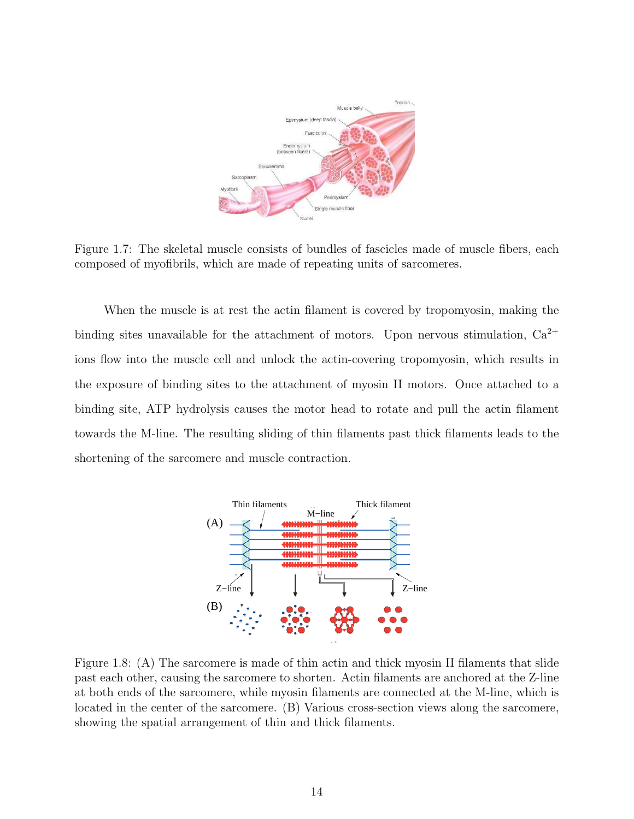

Figure 1.7: The skeletal muscle consists of bundles of fascicles made of muscle fibers, each composed of myofibrils, which are made of repeating units of sarcomeres.

When the muscle is at rest the actin filament is covered by tropomyosin, making the binding sites unavailable for the attachment of motors. Upon nervous stimulation,  $Ca^{2+}$ ions flow into the muscle cell and unlock the actin-covering tropomyosin, which results in the exposure of binding sites to the attachment of myosin II motors. Once attached to a binding site, ATP hydrolysis causes the motor head to rotate and pull the actin filament towards the M-line. The resulting sliding of thin filaments past thick filaments leads to the shortening of the sarcomere and muscle contraction.



Figure 1.8: (A) The sarcomere is made of thin actin and thick myosin II filaments that slide past each other, causing the sarcomere to shorten. Actin filaments are anchored at the Z-line at both ends of the sarcomere, while myosin filaments are connected at the M-line, which is located in the center of the sarcomere. (B) Various cross-section views along the sarcomere, showing the spatial arrangement of thin and thick filaments.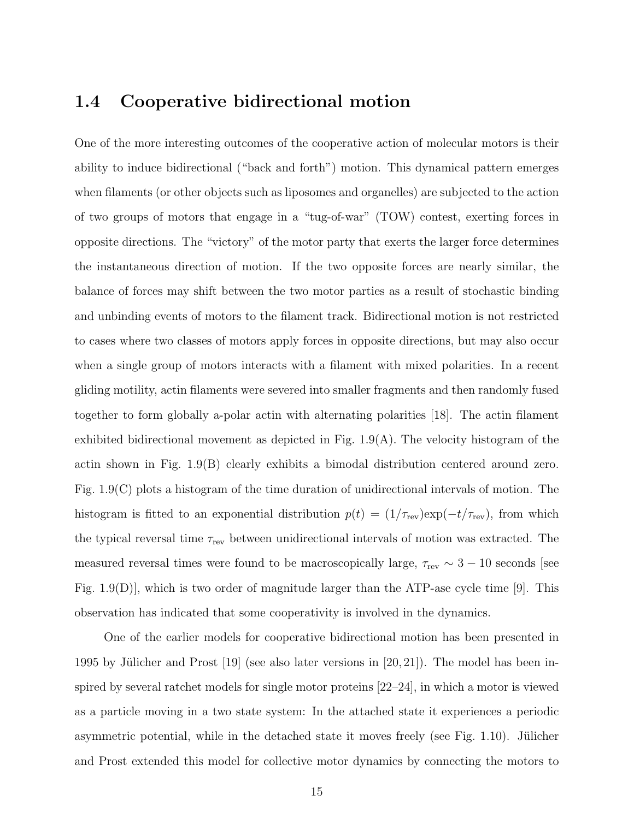#### 1.4 Cooperative bidirectional motion

One of the more interesting outcomes of the cooperative action of molecular motors is their ability to induce bidirectional ("back and forth") motion. This dynamical pattern emerges when filaments (or other objects such as liposomes and organelles) are subjected to the action of two groups of motors that engage in a "tug-of-war" (TOW) contest, exerting forces in opposite directions. The "victory" of the motor party that exerts the larger force determines the instantaneous direction of motion. If the two opposite forces are nearly similar, the balance of forces may shift between the two motor parties as a result of stochastic binding and unbinding events of motors to the filament track. Bidirectional motion is not restricted to cases where two classes of motors apply forces in opposite directions, but may also occur when a single group of motors interacts with a filament with mixed polarities. In a recent gliding motility, actin filaments were severed into smaller fragments and then randomly fused together to form globally a-polar actin with alternating polarities [18]. The actin filament exhibited bidirectional movement as depicted in Fig.  $1.9(A)$ . The velocity histogram of the actin shown in Fig. 1.9(B) clearly exhibits a bimodal distribution centered around zero. Fig. 1.9(C) plots a histogram of the time duration of unidirectional intervals of motion. The histogram is fitted to an exponential distribution  $p(t) = (1/\tau_{\text{rev}}) \exp(-t/\tau_{\text{rev}})$ , from which the typical reversal time  $\tau_{\text{rev}}$  between unidirectional intervals of motion was extracted. The measured reversal times were found to be macroscopically large,  $\tau_{\rm rev} \sim 3 - 10$  seconds [see Fig. 1.9(D)], which is two order of magnitude larger than the ATP-ase cycle time [9]. This observation has indicated that some cooperativity is involved in the dynamics.

One of the earlier models for cooperative bidirectional motion has been presented in 1995 by Jülicher and Prost [19] (see also later versions in [20, 21]). The model has been inspired by several ratchet models for single motor proteins [22–24], in which a motor is viewed as a particle moving in a two state system: In the attached state it experiences a periodic asymmetric potential, while in the detached state it moves freely (see Fig. 1.10). Julicher and Prost extended this model for collective motor dynamics by connecting the motors to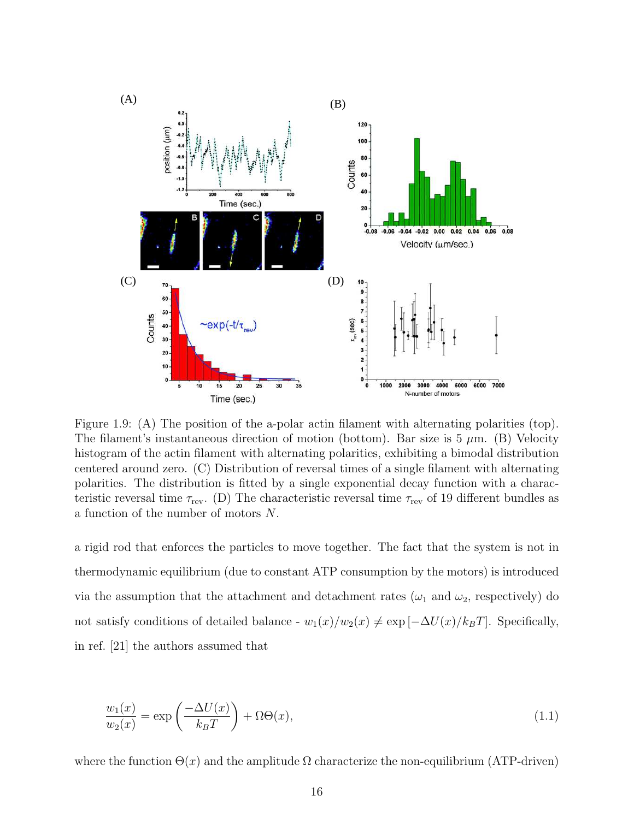

Figure 1.9: (A) The position of the a-polar actin filament with alternating polarities (top). The filament's instantaneous direction of motion (bottom). Bar size is  $5 \mu$ m. (B) Velocity histogram of the actin filament with alternating polarities, exhibiting a bimodal distribution centered around zero. (C) Distribution of reversal times of a single filament with alternating polarities. The distribution is fitted by a single exponential decay function with a characteristic reversal time  $\tau_{\text{rev}}$ . (D) The characteristic reversal time  $\tau_{\text{rev}}$  of 19 different bundles as a function of the number of motors N.

a rigid rod that enforces the particles to move together. The fact that the system is not in thermodynamic equilibrium (due to constant ATP consumption by the motors) is introduced via the assumption that the attachment and detachment rates ( $\omega_1$  and  $\omega_2$ , respectively) do not satisfy conditions of detailed balance -  $w_1(x)/w_2(x) \neq \exp[-\Delta U(x)/k_BT]$ . Specifically, in ref. [21] the authors assumed that

$$
\frac{w_1(x)}{w_2(x)} = \exp\left(\frac{-\Delta U(x)}{k_B T}\right) + \Omega \Theta(x),\tag{1.1}
$$

where the function  $\Theta(x)$  and the amplitude  $\Omega$  characterize the non-equilibrium (ATP-driven)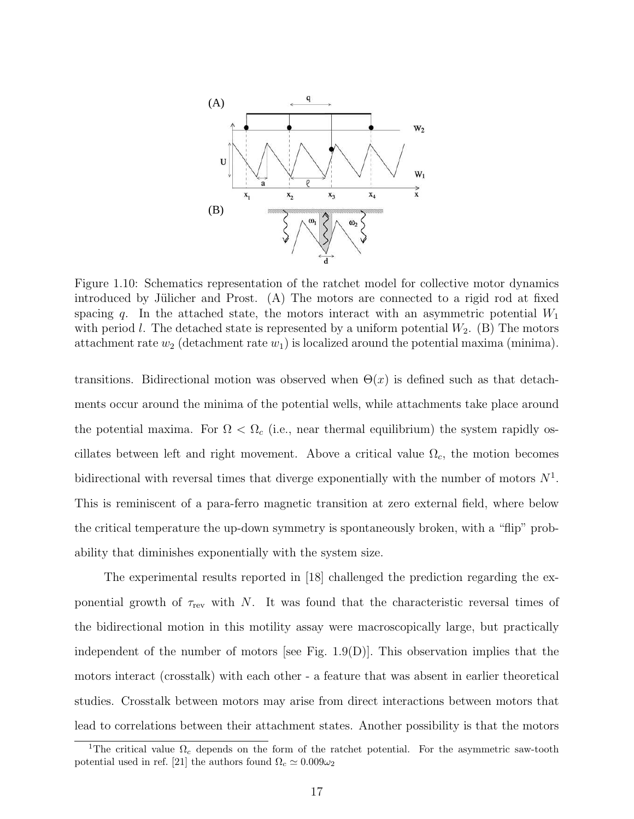

Figure 1.10: Schematics representation of the ratchet model for collective motor dynamics introduced by Jülicher and Prost.  $(A)$  The motors are connected to a rigid rod at fixed spacing q. In the attached state, the motors interact with an asymmetric potential  $W_1$ with period l. The detached state is represented by a uniform potential  $W_2$ . (B) The motors attachment rate  $w_2$  (detachment rate  $w_1$ ) is localized around the potential maxima (minima).

transitions. Bidirectional motion was observed when  $\Theta(x)$  is defined such as that detachments occur around the minima of the potential wells, while attachments take place around the potential maxima. For  $\Omega < \Omega_c$  (i.e., near thermal equilibrium) the system rapidly oscillates between left and right movement. Above a critical value  $\Omega_c$ , the motion becomes bidirectional with reversal times that diverge exponentially with the number of motors  $N^1$ . This is reminiscent of a para-ferro magnetic transition at zero external field, where below the critical temperature the up-down symmetry is spontaneously broken, with a "flip" probability that diminishes exponentially with the system size.

The experimental results reported in [18] challenged the prediction regarding the exponential growth of  $\tau_{rev}$  with N. It was found that the characteristic reversal times of the bidirectional motion in this motility assay were macroscopically large, but practically independent of the number of motors [see Fig.  $1.9(D)$ ]. This observation implies that the motors interact (crosstalk) with each other - a feature that was absent in earlier theoretical studies. Crosstalk between motors may arise from direct interactions between motors that lead to correlations between their attachment states. Another possibility is that the motors

<sup>&</sup>lt;sup>1</sup>The critical value  $\Omega_c$  depends on the form of the ratchet potential. For the asymmetric saw-tooth potential used in ref. [21] the authors found  $\Omega_c \simeq 0.009\omega_2$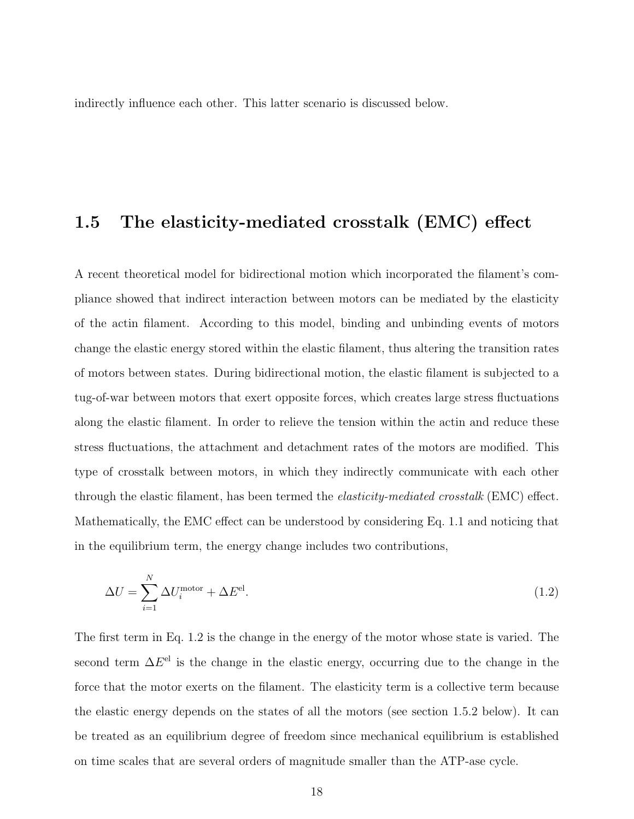indirectly influence each other. This latter scenario is discussed below.

#### 1.5 The elasticity-mediated crosstalk (EMC) effect

A recent theoretical model for bidirectional motion which incorporated the filament's compliance showed that indirect interaction between motors can be mediated by the elasticity of the actin filament. According to this model, binding and unbinding events of motors change the elastic energy stored within the elastic filament, thus altering the transition rates of motors between states. During bidirectional motion, the elastic filament is subjected to a tug-of-war between motors that exert opposite forces, which creates large stress fluctuations along the elastic filament. In order to relieve the tension within the actin and reduce these stress fluctuations, the attachment and detachment rates of the motors are modified. This type of crosstalk between motors, in which they indirectly communicate with each other through the elastic filament, has been termed the elasticity-mediated crosstalk (EMC) effect. Mathematically, the EMC effect can be understood by considering Eq. 1.1 and noticing that in the equilibrium term, the energy change includes two contributions,

$$
\Delta U = \sum_{i=1}^{N} \Delta U_i^{\text{motor}} + \Delta E^{\text{el}}.\tag{1.2}
$$

The first term in Eq. 1.2 is the change in the energy of the motor whose state is varied. The second term  $\Delta E^{\text{el}}$  is the change in the elastic energy, occurring due to the change in the force that the motor exerts on the filament. The elasticity term is a collective term because the elastic energy depends on the states of all the motors (see section 1.5.2 below). It can be treated as an equilibrium degree of freedom since mechanical equilibrium is established on time scales that are several orders of magnitude smaller than the ATP-ase cycle.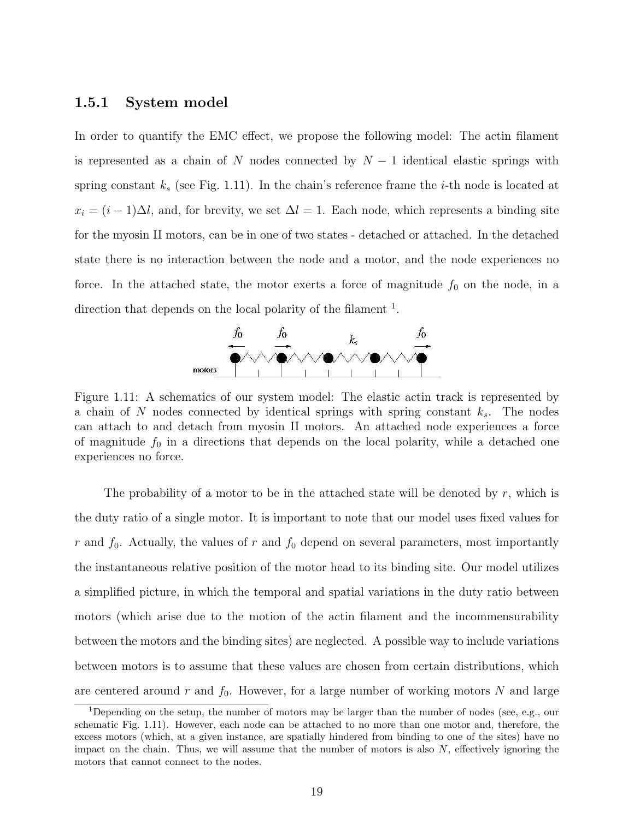#### 1.5.1 System model

In order to quantify the EMC effect, we propose the following model: The actin filament is represented as a chain of N nodes connected by  $N-1$  identical elastic springs with spring constant  $k_s$  (see Fig. 1.11). In the chain's reference frame the *i*-th node is located at  $x_i = (i-1)\Delta l$ , and, for brevity, we set  $\Delta l = 1$ . Each node, which represents a binding site for the myosin II motors, can be in one of two states - detached or attached. In the detached state there is no interaction between the node and a motor, and the node experiences no force. In the attached state, the motor exerts a force of magnitude  $f_0$  on the node, in a direction that depends on the local polarity of the filament <sup>1</sup>.



Figure 1.11: A schematics of our system model: The elastic actin track is represented by a chain of N nodes connected by identical springs with spring constant  $k_s$ . The nodes can attach to and detach from myosin II motors. An attached node experiences a force of magnitude  $f_0$  in a directions that depends on the local polarity, while a detached one experiences no force.

The probability of a motor to be in the attached state will be denoted by  $r$ , which is the duty ratio of a single motor. It is important to note that our model uses fixed values for r and  $f_0$ . Actually, the values of r and  $f_0$  depend on several parameters, most importantly the instantaneous relative position of the motor head to its binding site. Our model utilizes a simplified picture, in which the temporal and spatial variations in the duty ratio between motors (which arise due to the motion of the actin filament and the incommensurability between the motors and the binding sites) are neglected. A possible way to include variations between motors is to assume that these values are chosen from certain distributions, which are centered around r and  $f_0$ . However, for a large number of working motors N and large

<sup>1</sup>Depending on the setup, the number of motors may be larger than the number of nodes (see, e.g., our schematic Fig. 1.11). However, each node can be attached to no more than one motor and, therefore, the excess motors (which, at a given instance, are spatially hindered from binding to one of the sites) have no impact on the chain. Thus, we will assume that the number of motors is also  $N$ , effectively ignoring the motors that cannot connect to the nodes.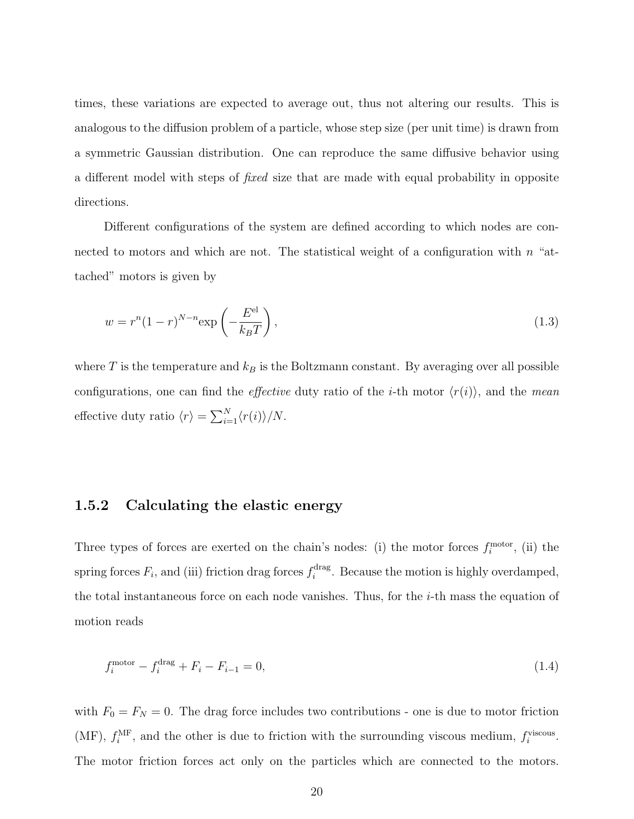times, these variations are expected to average out, thus not altering our results. This is analogous to the diffusion problem of a particle, whose step size (per unit time) is drawn from a symmetric Gaussian distribution. One can reproduce the same diffusive behavior using a different model with steps of fixed size that are made with equal probability in opposite directions.

Different configurations of the system are defined according to which nodes are connected to motors and which are not. The statistical weight of a configuration with  $n$  "attached" motors is given by

$$
w = r^n (1 - r)^{N - n} \exp\left(-\frac{E^{\text{el}}}{k_B T}\right),\tag{1.3}
$$

where T is the temperature and  $k_B$  is the Boltzmann constant. By averaging over all possible configurations, one can find the *effective* duty ratio of the *i*-th motor  $\langle r(i) \rangle$ , and the *mean* effective duty ratio  $\langle r \rangle = \sum_{i=1}^{N} \langle r(i) \rangle / N$ .

#### 1.5.2 Calculating the elastic energy

Three types of forces are exerted on the chain's nodes: (i) the motor forces  $f_i^{\text{motor}}$ , (ii) the spring forces  $F_i$ , and (iii) friction drag forces  $f_i^{\text{drag}}$  $i_i^{\text{drag}}$ . Because the motion is highly overdamped, the total instantaneous force on each node vanishes. Thus, for the  $i$ -th mass the equation of motion reads

$$
f_i^{\text{motor}} - f_i^{\text{drag}} + F_i - F_{i-1} = 0,\tag{1.4}
$$

with  $F_0 = F_N = 0$ . The drag force includes two contributions - one is due to motor friction (MF),  $f_i^{\text{MF}}$ , and the other is due to friction with the surrounding viscous medium,  $f_i^{\text{viscous}}$ . The motor friction forces act only on the particles which are connected to the motors.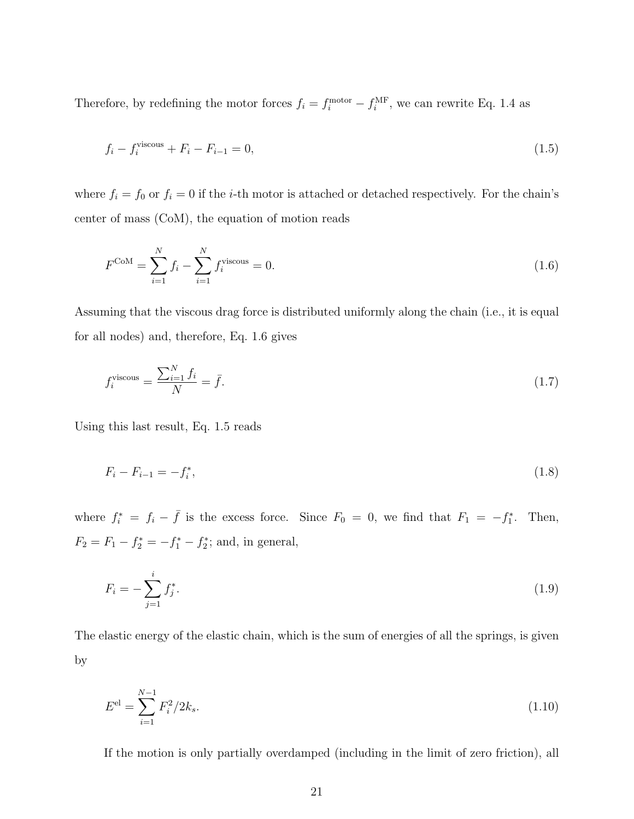Therefore, by redefining the motor forces  $f_i = f_i^{\text{motor}} - f_i^{\text{MF}}$ , we can rewrite Eq. 1.4 as

$$
f_i - f_i^{\text{viscous}} + F_i - F_{i-1} = 0,\tag{1.5}
$$

where  $f_i = f_0$  or  $f_i = 0$  if the *i*-th motor is attached or detached respectively. For the chain's center of mass (CoM), the equation of motion reads

$$
F^{\text{CoM}} = \sum_{i=1}^{N} f_i - \sum_{i=1}^{N} f_i^{\text{viscous}} = 0.
$$
 (1.6)

Assuming that the viscous drag force is distributed uniformly along the chain (i.e., it is equal for all nodes) and, therefore, Eq. 1.6 gives

$$
f_i^{\text{viscous}} = \frac{\sum_{i=1}^{N} f_i}{N} = \bar{f}.\tag{1.7}
$$

Using this last result, Eq. 1.5 reads

$$
F_i - F_{i-1} = -f_i^*,\tag{1.8}
$$

where  $f_i^* = f_i - \bar{f}$  is the excess force. Since  $F_0 = 0$ , we find that  $F_1 = -f_1^*$ . Then,  $F_2 = F_1 - f_2^* = -f_1^* - f_2^*$ ; and, in general,

$$
F_i = -\sum_{j=1}^{i} f_j^*.
$$
\n(1.9)

The elastic energy of the elastic chain, which is the sum of energies of all the springs, is given by

$$
E^{\text{el}} = \sum_{i=1}^{N-1} F_i^2 / 2k_s. \tag{1.10}
$$

If the motion is only partially overdamped (including in the limit of zero friction), all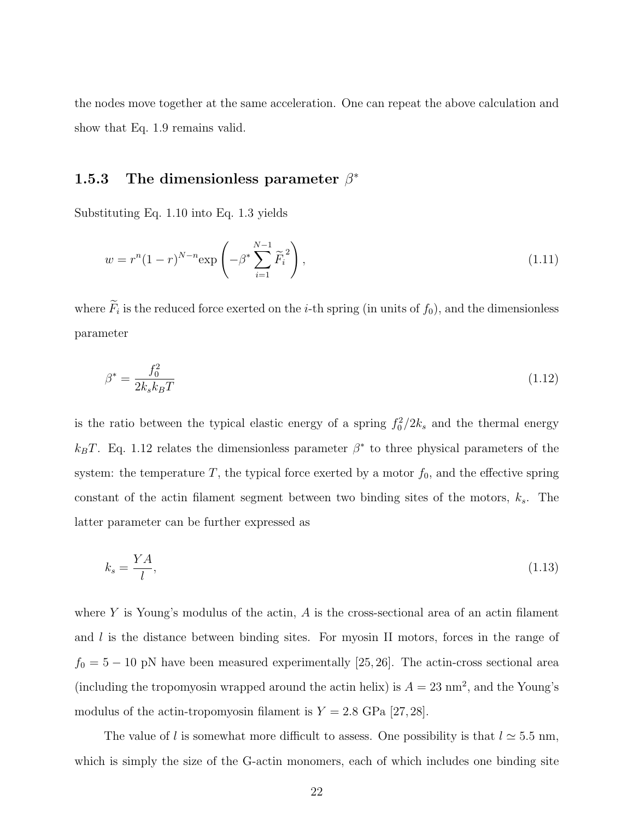the nodes move together at the same acceleration. One can repeat the above calculation and show that Eq. 1.9 remains valid.

## 1.5.3 The dimensionless parameter  $\beta^*$

Substituting Eq. 1.10 into Eq. 1.3 yields

$$
w = r^{n}(1-r)^{N-n} \exp\left(-\beta^* \sum_{i=1}^{N-1} \widetilde{F}_i^2\right),
$$
\n(1.11)

where  $F_i$  is the reduced force exerted on the *i*-th spring (in units of  $f_0$ ), and the dimensionless parameter

$$
\beta^* = \frac{f_0^2}{2k_s k_B T} \tag{1.12}
$$

is the ratio between the typical elastic energy of a spring  $f_0^2/2k_s$  and the thermal energy  $k_B T$ . Eq. 1.12 relates the dimensionless parameter  $\beta^*$  to three physical parameters of the system: the temperature  $T$ , the typical force exerted by a motor  $f_0$ , and the effective spring constant of the actin filament segment between two binding sites of the motors,  $k_s$ . The latter parameter can be further expressed as

$$
k_s = \frac{YA}{l},\tag{1.13}
$$

where Y is Young's modulus of the actin,  $A$  is the cross-sectional area of an actin filament and  $l$  is the distance between binding sites. For myosin II motors, forces in the range of  $f_0 = 5 - 10$  pN have been measured experimentally [25, 26]. The actin-cross sectional area (including the tropomyosin wrapped around the actin helix) is  $A = 23$  nm<sup>2</sup>, and the Young's modulus of the actin-tropomyosin filament is  $Y = 2.8 \text{ GPa} [27, 28]$ .

The value of l is somewhat more difficult to assess. One possibility is that  $l \approx 5.5$  nm, which is simply the size of the G-actin monomers, each of which includes one binding site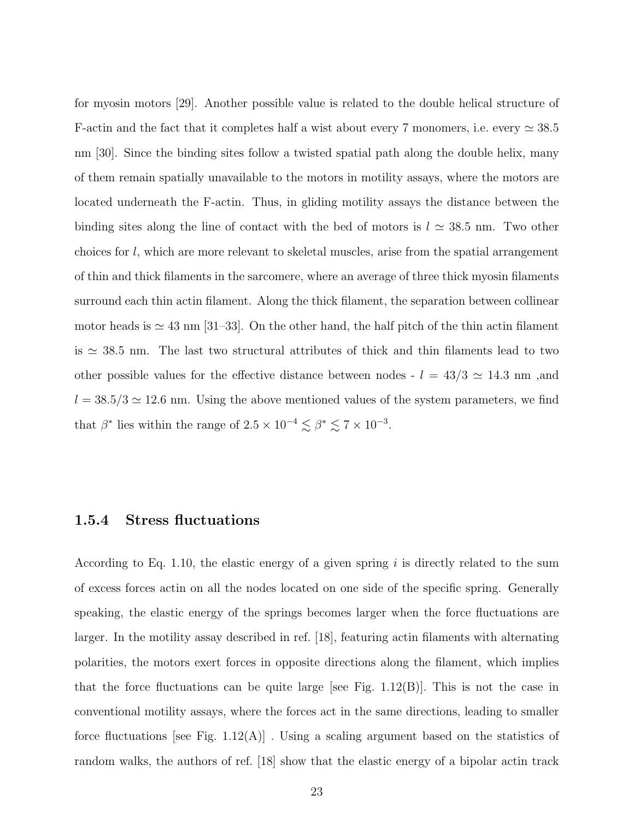for myosin motors [29]. Another possible value is related to the double helical structure of F-actin and the fact that it completes half a wist about every 7 monomers, i.e. every  $\simeq 38.5$ nm [30]. Since the binding sites follow a twisted spatial path along the double helix, many of them remain spatially unavailable to the motors in motility assays, where the motors are located underneath the F-actin. Thus, in gliding motility assays the distance between the binding sites along the line of contact with the bed of motors is  $l \approx 38.5$  nm. Two other choices for l, which are more relevant to skeletal muscles, arise from the spatial arrangement of thin and thick filaments in the sarcomere, where an average of three thick myosin filaments surround each thin actin filament. Along the thick filament, the separation between collinear motor heads is  $\simeq 43$  nm [31–33]. On the other hand, the half pitch of the thin actin filament is  $\simeq$  38.5 nm. The last two structural attributes of thick and thin filaments lead to two other possible values for the effective distance between nodes -  $l\,=\,43/3\,\simeq\,14.3\,$  nm ,<br>and  $l = 38.5/3 \approx 12.6$  nm. Using the above mentioned values of the system parameters, we find that  $\beta^*$  lies within the range of  $2.5 \times 10^{-4} \lesssim \beta^* \lesssim 7 \times 10^{-3}$ .

#### 1.5.4 Stress fluctuations

According to Eq. 1.10, the elastic energy of a given spring  $i$  is directly related to the sum of excess forces actin on all the nodes located on one side of the specific spring. Generally speaking, the elastic energy of the springs becomes larger when the force fluctuations are larger. In the motility assay described in ref. [18], featuring actin filaments with alternating polarities, the motors exert forces in opposite directions along the filament, which implies that the force fluctuations can be quite large [see Fig.  $1.12(B)$ ]. This is not the case in conventional motility assays, where the forces act in the same directions, leading to smaller force fluctuations [see Fig.  $1.12(A)$ ]. Using a scaling argument based on the statistics of random walks, the authors of ref. [18] show that the elastic energy of a bipolar actin track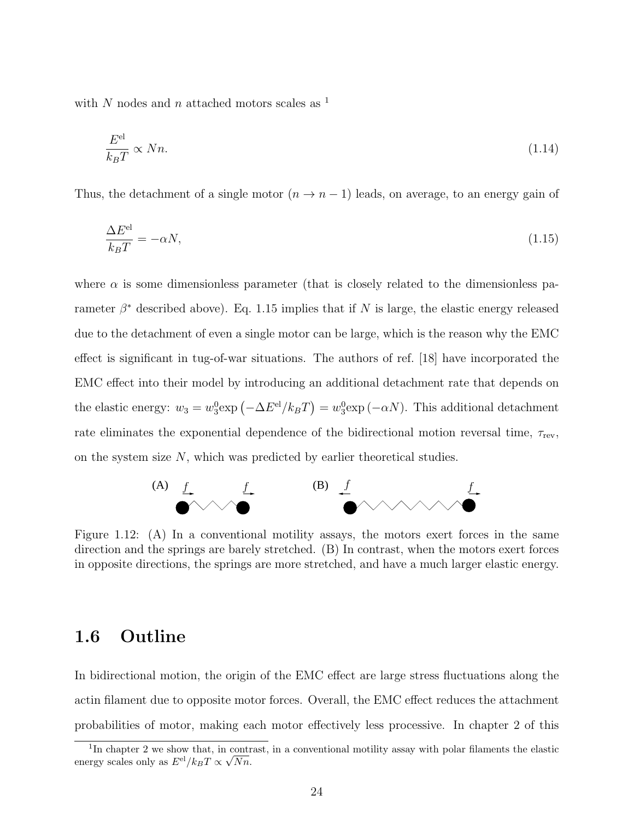with N nodes and n attached motors scales as  $<sup>1</sup>$ </sup>

$$
\frac{E^{\text{el}}}{k_B T} \propto N n. \tag{1.14}
$$

Thus, the detachment of a single motor  $(n \to n - 1)$  leads, on average, to an energy gain of

$$
\frac{\Delta E^{\text{el}}}{k_B T} = -\alpha N,\tag{1.15}
$$

where  $\alpha$  is some dimensionless parameter (that is closely related to the dimensionless parameter  $\beta^*$  described above). Eq. 1.15 implies that if N is large, the elastic energy released due to the detachment of even a single motor can be large, which is the reason why the EMC effect is significant in tug-of-war situations. The authors of ref. [18] have incorporated the EMC effect into their model by introducing an additional detachment rate that depends on the elastic energy:  $w_3 = w_3^0 \exp(-\Delta E^{\text{el}}/k_B T) = w_3^0 \exp(-\alpha N)$ . This additional detachment rate eliminates the exponential dependence of the bidirectional motion reversal time,  $\tau_{\text{rev}}$ , on the system size  $N$ , which was predicted by earlier theoretical studies.



Figure 1.12: (A) In a conventional motility assays, the motors exert forces in the same direction and the springs are barely stretched. (B) In contrast, when the motors exert forces in opposite directions, the springs are more stretched, and have a much larger elastic energy.

## 1.6 Outline

In bidirectional motion, the origin of the EMC effect are large stress fluctuations along the actin filament due to opposite motor forces. Overall, the EMC effect reduces the attachment probabilities of motor, making each motor effectively less processive. In chapter 2 of this

<sup>&</sup>lt;sup>1</sup>In chapter 2 we show that, in contrast, in a conventional motility assay with polar filaments the elastic energy scales only as  $E^{el}/k_BT \propto \sqrt{Nn}$ .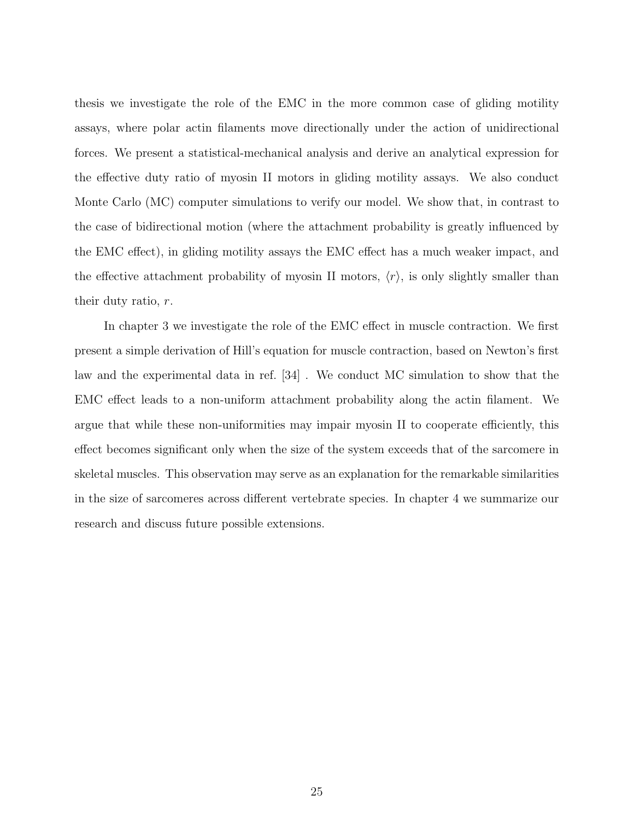thesis we investigate the role of the EMC in the more common case of gliding motility assays, where polar actin filaments move directionally under the action of unidirectional forces. We present a statistical-mechanical analysis and derive an analytical expression for the effective duty ratio of myosin II motors in gliding motility assays. We also conduct Monte Carlo (MC) computer simulations to verify our model. We show that, in contrast to the case of bidirectional motion (where the attachment probability is greatly influenced by the EMC effect), in gliding motility assays the EMC effect has a much weaker impact, and the effective attachment probability of myosin II motors,  $\langle r \rangle$ , is only slightly smaller than their duty ratio, r.

In chapter 3 we investigate the role of the EMC effect in muscle contraction. We first present a simple derivation of Hill's equation for muscle contraction, based on Newton's first law and the experimental data in ref. [34] . We conduct MC simulation to show that the EMC effect leads to a non-uniform attachment probability along the actin filament. We argue that while these non-uniformities may impair myosin II to cooperate efficiently, this effect becomes significant only when the size of the system exceeds that of the sarcomere in skeletal muscles. This observation may serve as an explanation for the remarkable similarities in the size of sarcomeres across different vertebrate species. In chapter 4 we summarize our research and discuss future possible extensions.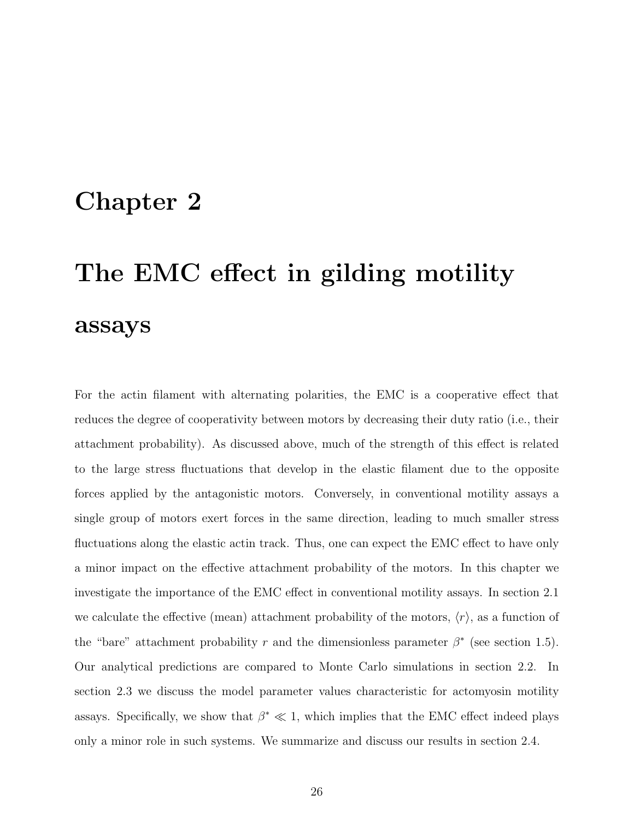## Chapter 2

# The EMC effect in gilding motility assays

For the actin filament with alternating polarities, the EMC is a cooperative effect that reduces the degree of cooperativity between motors by decreasing their duty ratio (i.e., their attachment probability). As discussed above, much of the strength of this effect is related to the large stress fluctuations that develop in the elastic filament due to the opposite forces applied by the antagonistic motors. Conversely, in conventional motility assays a single group of motors exert forces in the same direction, leading to much smaller stress fluctuations along the elastic actin track. Thus, one can expect the EMC effect to have only a minor impact on the effective attachment probability of the motors. In this chapter we investigate the importance of the EMC effect in conventional motility assays. In section 2.1 we calculate the effective (mean) attachment probability of the motors,  $\langle r \rangle$ , as a function of the "bare" attachment probability r and the dimensionless parameter  $\beta^*$  (see section 1.5). Our analytical predictions are compared to Monte Carlo simulations in section 2.2. In section 2.3 we discuss the model parameter values characteristic for actomyosin motility assays. Specifically, we show that  $\beta^* \ll 1$ , which implies that the EMC effect indeed plays only a minor role in such systems. We summarize and discuss our results in section 2.4.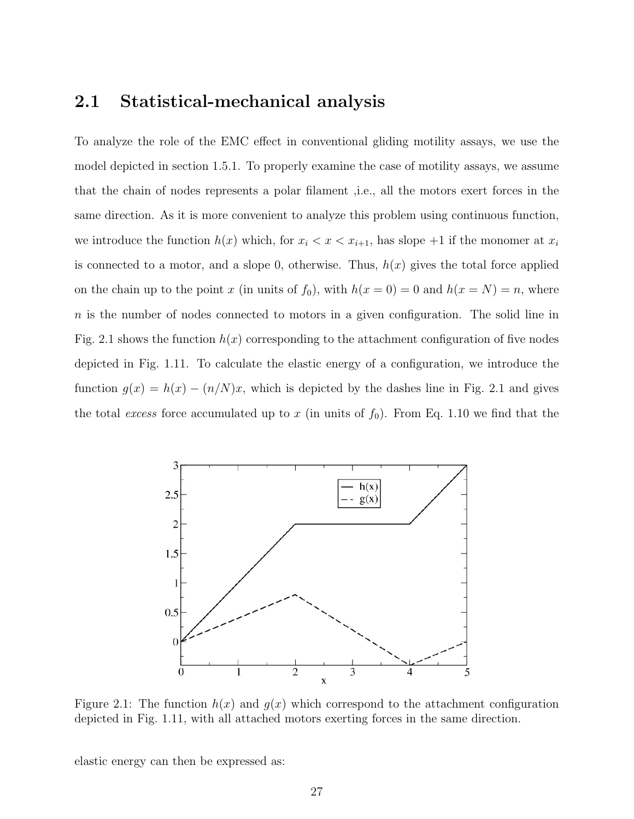#### 2.1 Statistical-mechanical analysis

To analyze the role of the EMC effect in conventional gliding motility assays, we use the model depicted in section 1.5.1. To properly examine the case of motility assays, we assume that the chain of nodes represents a polar filament ,i.e., all the motors exert forces in the same direction. As it is more convenient to analyze this problem using continuous function, we introduce the function  $h(x)$  which, for  $x_i < x < x_{i+1}$ , has slope  $+1$  if the monomer at  $x_i$ is connected to a motor, and a slope 0, otherwise. Thus,  $h(x)$  gives the total force applied on the chain up to the point x (in units of  $f_0$ ), with  $h(x = 0) = 0$  and  $h(x = N) = n$ , where  $n$  is the number of nodes connected to motors in a given configuration. The solid line in Fig. 2.1 shows the function  $h(x)$  corresponding to the attachment configuration of five nodes depicted in Fig. 1.11. To calculate the elastic energy of a configuration, we introduce the function  $g(x) = h(x) - (n/N)x$ , which is depicted by the dashes line in Fig. 2.1 and gives the total excess force accumulated up to x (in units of  $f_0$ ). From Eq. 1.10 we find that the



Figure 2.1: The function  $h(x)$  and  $q(x)$  which correspond to the attachment configuration depicted in Fig. 1.11, with all attached motors exerting forces in the same direction.

elastic energy can then be expressed as: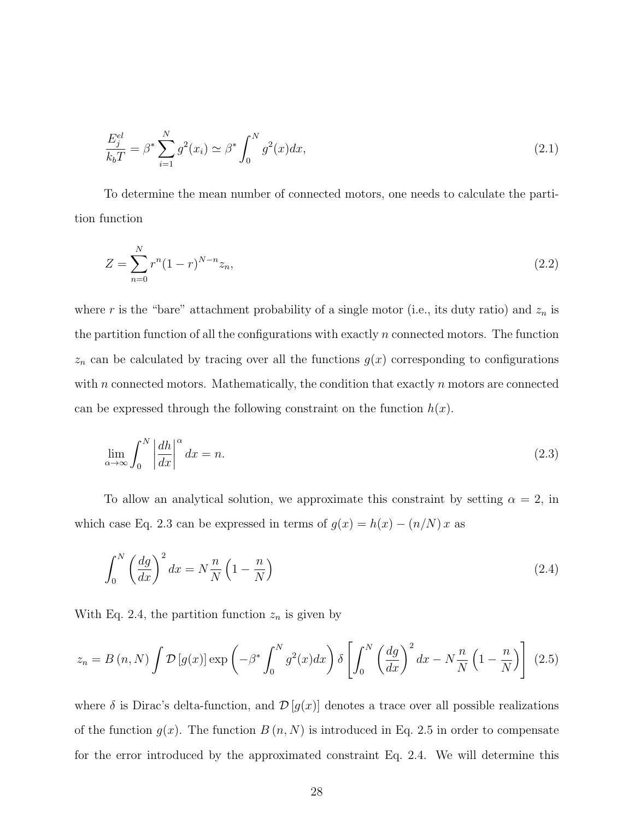$$
\frac{E_j^{el}}{k_b T} = \beta^* \sum_{i=1}^N g^2(x_i) \simeq \beta^* \int_0^N g^2(x) dx, \tag{2.1}
$$

To determine the mean number of connected motors, one needs to calculate the partition function

$$
Z = \sum_{n=0}^{N} r^n (1-r)^{N-n} z_n,
$$
\n(2.2)

where r is the "bare" attachment probability of a single motor (i.e., its duty ratio) and  $z_n$  is the partition function of all the configurations with exactly  $n$  connected motors. The function  $z_n$  can be calculated by tracing over all the functions  $g(x)$  corresponding to configurations with  $n$  connected motors. Mathematically, the condition that exactly  $n$  motors are connected can be expressed through the following constraint on the function  $h(x)$ .

$$
\lim_{\alpha \to \infty} \int_0^N \left| \frac{dh}{dx} \right|^\alpha dx = n. \tag{2.3}
$$

To allow an analytical solution, we approximate this constraint by setting  $\alpha = 2$ , in which case Eq. 2.3 can be expressed in terms of  $g(x) = h(x) - (n/N)x$  as

$$
\int_0^N \left(\frac{dg}{dx}\right)^2 dx = N\frac{n}{N} \left(1 - \frac{n}{N}\right) \tag{2.4}
$$

With Eq. 2.4, the partition function  $z_n$  is given by

$$
z_n = B(n, N) \int \mathcal{D}\left[g(x)\right] \exp\left(-\beta^* \int_0^N g^2(x) dx\right) \delta\left[\int_0^N \left(\frac{dg}{dx}\right)^2 dx - N\frac{n}{N} \left(1 - \frac{n}{N}\right)\right] \tag{2.5}
$$

where  $\delta$  is Dirac's delta-function, and  $\mathcal{D}[g(x)]$  denotes a trace over all possible realizations of the function  $g(x)$ . The function  $B(n, N)$  is introduced in Eq. 2.5 in order to compensate for the error introduced by the approximated constraint Eq. 2.4. We will determine this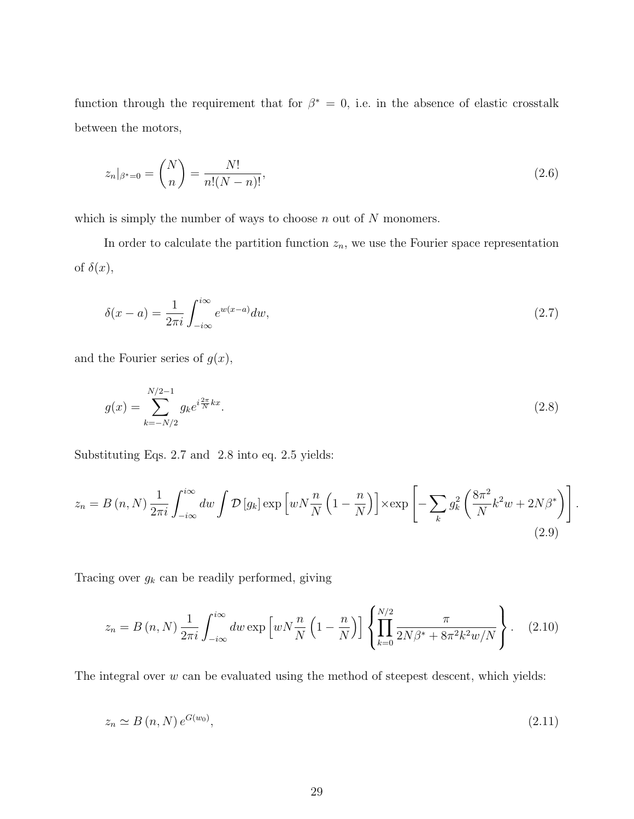function through the requirement that for  $\beta^* = 0$ , i.e. in the absence of elastic crosstalk between the motors,

$$
z_n|_{\beta^*=0} = \binom{N}{n} = \frac{N!}{n!(N-n)!},\tag{2.6}
$$

which is simply the number of ways to choose  $n$  out of  $N$  monomers.

In order to calculate the partition function  $z_n$ , we use the Fourier space representation of  $\delta(x)$ ,

$$
\delta(x-a) = \frac{1}{2\pi i} \int_{-i\infty}^{i\infty} e^{w(x-a)} dw,
$$
\n(2.7)

and the Fourier series of  $g(x)$ ,

$$
g(x) = \sum_{k=-N/2}^{N/2-1} g_k e^{i\frac{2\pi}{N}kx}.
$$
\n(2.8)

Substituting Eqs. 2.7 and 2.8 into eq. 2.5 yields:

$$
z_n = B(n, N) \frac{1}{2\pi i} \int_{-i\infty}^{i\infty} dw \int \mathcal{D}\left[g_k\right] \exp\left[wN\frac{n}{N}\left(1 - \frac{n}{N}\right)\right] \times \exp\left[-\sum_k g_k^2 \left(\frac{8\pi^2}{N}k^2w + 2N\beta^*\right)\right]
$$
\n(2.9)

.

Tracing over  $g_k$  can be readily performed, giving

$$
z_n = B(n, N) \frac{1}{2\pi i} \int_{-i\infty}^{i\infty} dw \exp\left[wN\frac{n}{N}\left(1 - \frac{n}{N}\right)\right] \left\{ \prod_{k=0}^{N/2} \frac{\pi}{2N\beta^* + 8\pi^2 k^2 w/N} \right\}.
$$
 (2.10)

The integral over  $w$  can be evaluated using the method of steepest descent, which yields:

$$
z_n \simeq B\left(n, N\right) e^{G(w_0)},\tag{2.11}
$$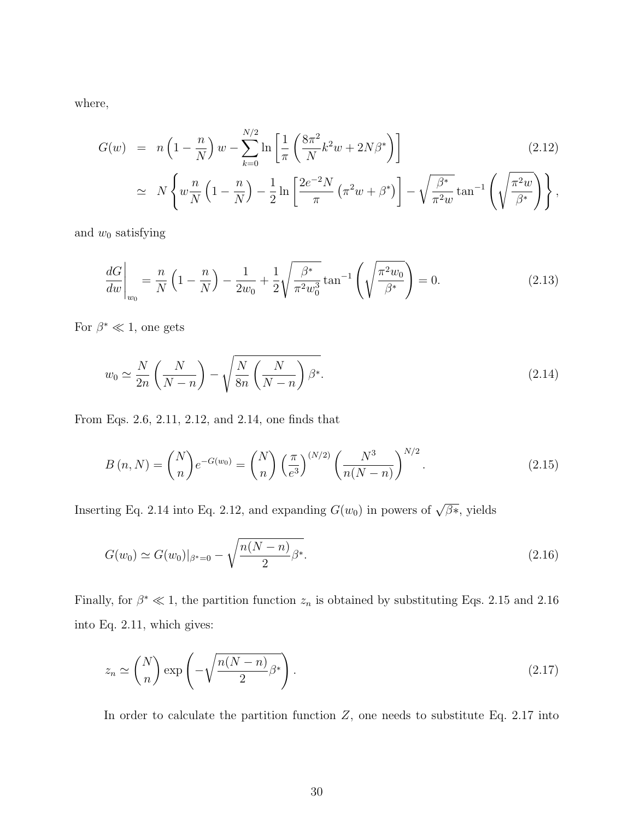where,

$$
G(w) = n \left( 1 - \frac{n}{N} \right) w - \sum_{k=0}^{N/2} \ln \left[ \frac{1}{\pi} \left( \frac{8\pi^2}{N} k^2 w + 2N\beta^* \right) \right]
$$
\n
$$
\simeq N \left\{ w \frac{n}{N} \left( 1 - \frac{n}{N} \right) - \frac{1}{2} \ln \left[ \frac{2e^{-2}N}{\pi} \left( \pi^2 w + \beta^* \right) \right] - \sqrt{\frac{\beta^*}{\pi^2 w}} \tan^{-1} \left( \sqrt{\frac{\pi^2 w}{\beta^*}} \right) \right\},
$$
\n(2.12)

and  $w_0$  satisfying

$$
\left. \frac{dG}{dw} \right|_{w_0} = \frac{n}{N} \left( 1 - \frac{n}{N} \right) - \frac{1}{2w_0} + \frac{1}{2} \sqrt{\frac{\beta^*}{\pi^2 w_0^3}} \tan^{-1} \left( \sqrt{\frac{\pi^2 w_0}{\beta^*}} \right) = 0. \tag{2.13}
$$

For  $\beta^* \ll 1$ , one gets

$$
w_0 \simeq \frac{N}{2n} \left( \frac{N}{N-n} \right) - \sqrt{\frac{N}{8n} \left( \frac{N}{N-n} \right) \beta^*}. \tag{2.14}
$$

From Eqs. 2.6, 2.11, 2.12, and 2.14, one finds that

$$
B(n,N) = {N \choose n} e^{-G(w_0)} = {N \choose n} \left(\frac{\pi}{e^3}\right)^{(N/2)} \left(\frac{N^3}{n(N-n)}\right)^{N/2}.
$$
 (2.15)

Inserting Eq. 2.14 into Eq. 2.12, and expanding  $G(w_0)$  in powers of  $\sqrt{\beta^*}$ , yields

$$
G(w_0) \simeq G(w_0)|_{\beta^*=0} - \sqrt{\frac{n(N-n)}{2}\beta^*}.
$$
\n(2.16)

Finally, for  $\beta^* \ll 1$ , the partition function  $z_n$  is obtained by substituting Eqs. 2.15 and 2.16 into Eq. 2.11, which gives:

$$
z_n \simeq \binom{N}{n} \exp\left(-\sqrt{\frac{n(N-n)}{2}\beta^*}\right). \tag{2.17}
$$

In order to calculate the partition function  $Z$ , one needs to substitute Eq. 2.17 into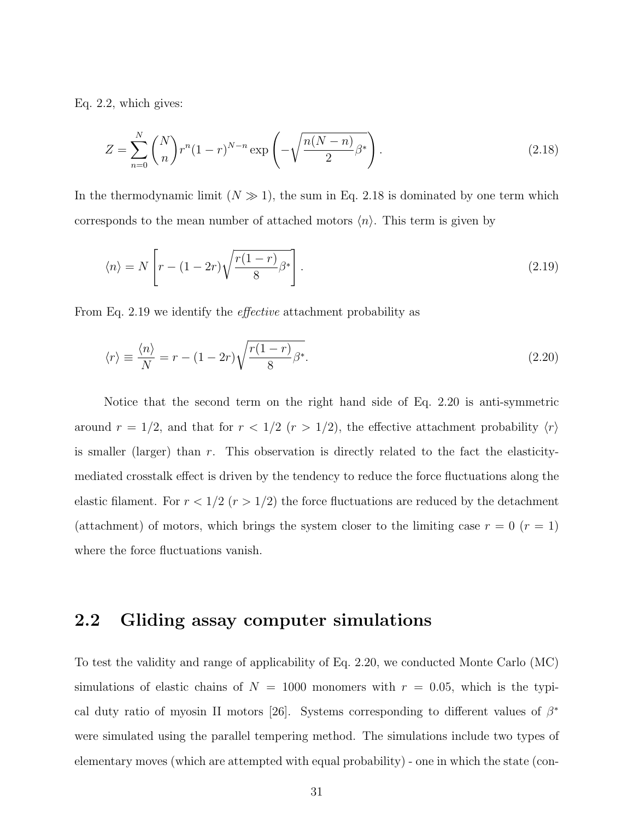Eq. 2.2, which gives:

$$
Z = \sum_{n=0}^{N} {N \choose n} r^n (1-r)^{N-n} \exp\left(-\sqrt{\frac{n(N-n)}{2} \beta^*}\right).
$$
 (2.18)

In the thermodynamic limit  $(N \gg 1)$ , the sum in Eq. 2.18 is dominated by one term which corresponds to the mean number of attached motors  $\langle n \rangle$ . This term is given by

$$
\langle n \rangle = N \left[ r - (1 - 2r) \sqrt{\frac{r(1-r)}{8} \beta^*} \right]. \tag{2.19}
$$

From Eq. 2.19 we identify the effective attachment probability as

$$
\langle r \rangle \equiv \frac{\langle n \rangle}{N} = r - (1 - 2r) \sqrt{\frac{r(1 - r)}{8} \beta^*}.
$$
\n(2.20)

Notice that the second term on the right hand side of Eq. 2.20 is anti-symmetric around  $r = 1/2$ , and that for  $r < 1/2$   $(r > 1/2)$ , the effective attachment probability  $\langle r \rangle$ is smaller (larger) than r. This observation is directly related to the fact the elasticitymediated crosstalk effect is driven by the tendency to reduce the force fluctuations along the elastic filament. For  $r < 1/2$   $(r > 1/2)$  the force fluctuations are reduced by the detachment (attachment) of motors, which brings the system closer to the limiting case  $r = 0$  ( $r = 1$ ) where the force fluctuations vanish.

#### 2.2 Gliding assay computer simulations

To test the validity and range of applicability of Eq. 2.20, we conducted Monte Carlo (MC) simulations of elastic chains of  $N = 1000$  monomers with  $r = 0.05$ , which is the typical duty ratio of myosin II motors [26]. Systems corresponding to different values of  $\beta^*$ were simulated using the parallel tempering method. The simulations include two types of elementary moves (which are attempted with equal probability) - one in which the state (con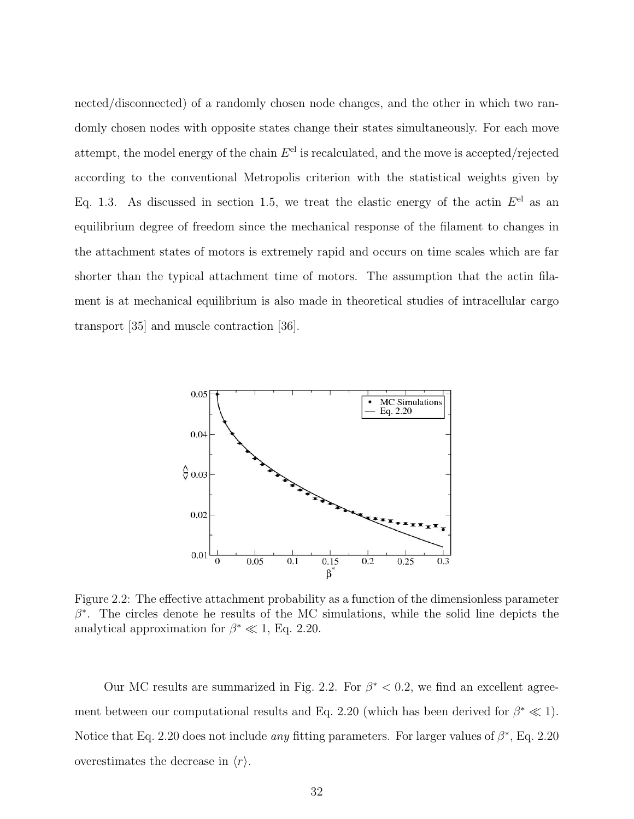nected/disconnected) of a randomly chosen node changes, and the other in which two randomly chosen nodes with opposite states change their states simultaneously. For each move attempt, the model energy of the chain  $E^{\text{el}}$  is recalculated, and the move is accepted/rejected according to the conventional Metropolis criterion with the statistical weights given by Eq. 1.3. As discussed in section 1.5, we treat the elastic energy of the actin  $E<sup>el</sup>$  as an equilibrium degree of freedom since the mechanical response of the filament to changes in the attachment states of motors is extremely rapid and occurs on time scales which are far shorter than the typical attachment time of motors. The assumption that the actin filament is at mechanical equilibrium is also made in theoretical studies of intracellular cargo transport [35] and muscle contraction [36].



Figure 2.2: The effective attachment probability as a function of the dimensionless parameter  $\beta^*$ . The circles denote he results of the MC simulations, while the solid line depicts the analytical approximation for  $\beta^* \ll 1$ , Eq. 2.20.

Our MC results are summarized in Fig. 2.2. For  $\beta^* < 0.2$ , we find an excellent agreement between our computational results and Eq. 2.20 (which has been derived for  $\beta^* \ll 1$ ). Notice that Eq. 2.20 does not include *any* fitting parameters. For larger values of  $\beta^*$ , Eq. 2.20 overestimates the decrease in  $\langle r \rangle$ .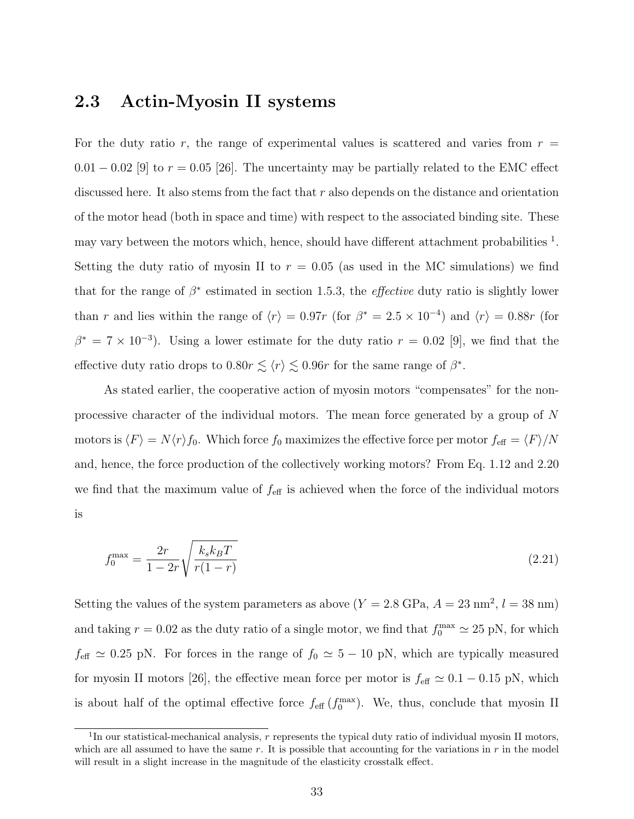#### 2.3 Actin-Myosin II systems

For the duty ratio r, the range of experimental values is scattered and varies from  $r =$  $0.01 - 0.02$  [9] to  $r = 0.05$  [26]. The uncertainty may be partially related to the EMC effect discussed here. It also stems from the fact that  $r$  also depends on the distance and orientation of the motor head (both in space and time) with respect to the associated binding site. These may vary between the motors which, hence, should have different attachment probabilities  $<sup>1</sup>$ .</sup> Setting the duty ratio of myosin II to  $r = 0.05$  (as used in the MC simulations) we find that for the range of  $\beta^*$  estimated in section 1.5.3, the *effective* duty ratio is slightly lower than r and lies within the range of  $\langle r \rangle = 0.97r$  (for  $\beta^* = 2.5 \times 10^{-4}$ ) and  $\langle r \rangle = 0.88r$  (for  $\beta^* = 7 \times 10^{-3}$ ). Using a lower estimate for the duty ratio  $r = 0.02$  [9], we find that the effective duty ratio drops to  $0.80r \lesssim \langle r \rangle \lesssim 0.96r$  for the same range of  $\beta^*$ .

As stated earlier, the cooperative action of myosin motors "compensates" for the nonprocessive character of the individual motors. The mean force generated by a group of N motors is  $\langle F \rangle = N\langle r \rangle f_0$ . Which force  $f_0$  maximizes the effective force per motor  $f_{\text{eff}} = \langle F \rangle/N$ and, hence, the force production of the collectively working motors? From Eq. 1.12 and 2.20 we find that the maximum value of  $f_{\text{eff}}$  is achieved when the force of the individual motors is

$$
f_0^{\max} = \frac{2r}{1 - 2r} \sqrt{\frac{k_s k_B T}{r(1 - r)}}
$$
\n(2.21)

Setting the values of the system parameters as above  $(Y = 2.8 \text{ GPa}, A = 23 \text{ nm}^2, l = 38 \text{ nm})$ and taking  $r = 0.02$  as the duty ratio of a single motor, we find that  $f_0^{\text{max}} \simeq 25 \text{ pN}$ , for which  $f_{\text{eff}} \simeq 0.25 \text{ pN}$ . For forces in the range of  $f_0 \simeq 5 - 10 \text{ pN}$ , which are typically measured for myosin II motors [26], the effective mean force per motor is  $f_{\text{eff}} \simeq 0.1 - 0.15 \text{ pN}$ , which is about half of the optimal effective force  $f_{\text{eff}}(f_0^{\text{max}})$ . We, thus, conclude that myosin II

<sup>&</sup>lt;sup>1</sup>In our statistical-mechanical analysis,  $r$  represents the typical duty ratio of individual myosin II motors, which are all assumed to have the same  $r$ . It is possible that accounting for the variations in  $r$  in the model will result in a slight increase in the magnitude of the elasticity crosstalk effect.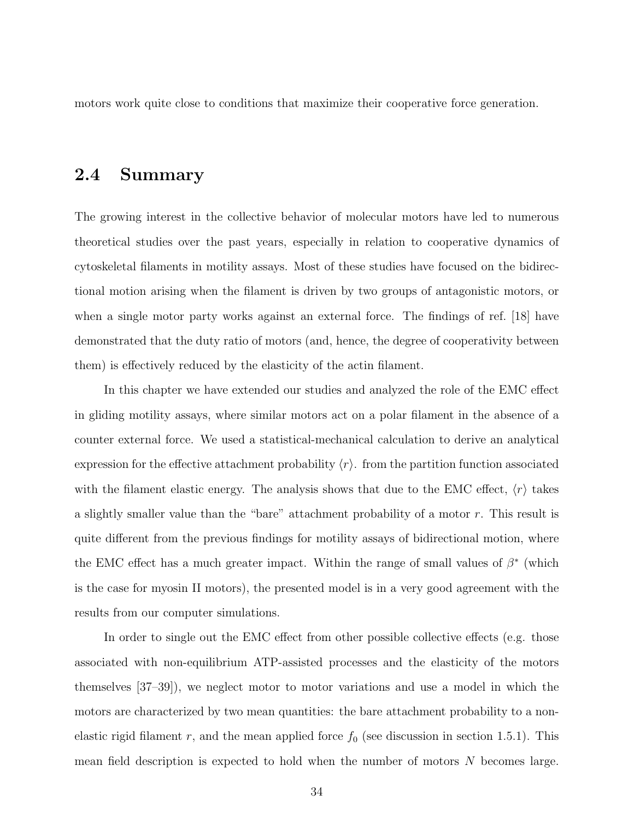motors work quite close to conditions that maximize their cooperative force generation.

#### 2.4 Summary

The growing interest in the collective behavior of molecular motors have led to numerous theoretical studies over the past years, especially in relation to cooperative dynamics of cytoskeletal filaments in motility assays. Most of these studies have focused on the bidirectional motion arising when the filament is driven by two groups of antagonistic motors, or when a single motor party works against an external force. The findings of ref. [18] have demonstrated that the duty ratio of motors (and, hence, the degree of cooperativity between them) is effectively reduced by the elasticity of the actin filament.

In this chapter we have extended our studies and analyzed the role of the EMC effect in gliding motility assays, where similar motors act on a polar filament in the absence of a counter external force. We used a statistical-mechanical calculation to derive an analytical expression for the effective attachment probability  $\langle r \rangle$ . from the partition function associated with the filament elastic energy. The analysis shows that due to the EMC effect,  $\langle r \rangle$  takes a slightly smaller value than the "bare" attachment probability of a motor r. This result is quite different from the previous findings for motility assays of bidirectional motion, where the EMC effect has a much greater impact. Within the range of small values of  $\beta^*$  (which is the case for myosin II motors), the presented model is in a very good agreement with the results from our computer simulations.

In order to single out the EMC effect from other possible collective effects (e.g. those associated with non-equilibrium ATP-assisted processes and the elasticity of the motors themselves [37–39]), we neglect motor to motor variations and use a model in which the motors are characterized by two mean quantities: the bare attachment probability to a nonelastic rigid filament r, and the mean applied force  $f_0$  (see discussion in section 1.5.1). This mean field description is expected to hold when the number of motors N becomes large.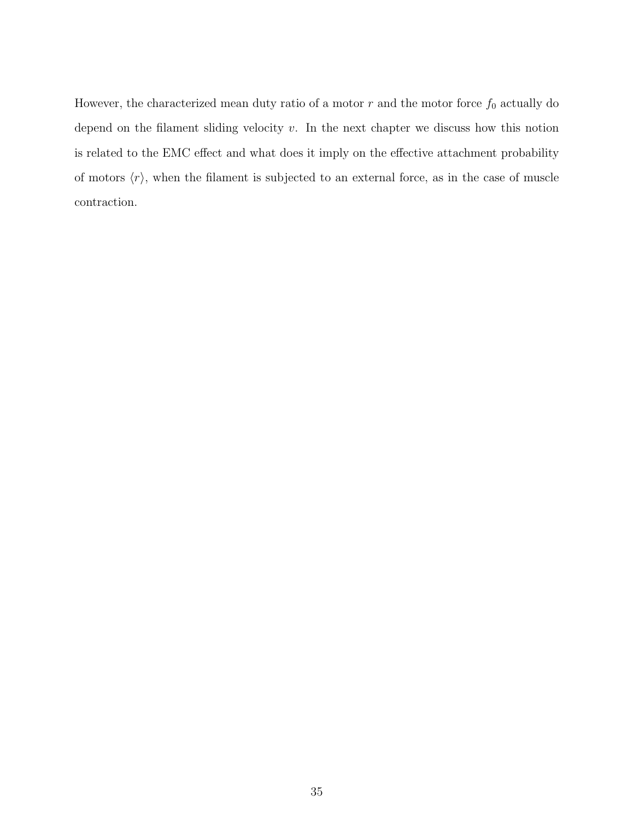However, the characterized mean duty ratio of a motor  $r$  and the motor force  $f_0$  actually do depend on the filament sliding velocity  $v$ . In the next chapter we discuss how this notion is related to the EMC effect and what does it imply on the effective attachment probability of motors  $\langle r \rangle$ , when the filament is subjected to an external force, as in the case of muscle contraction.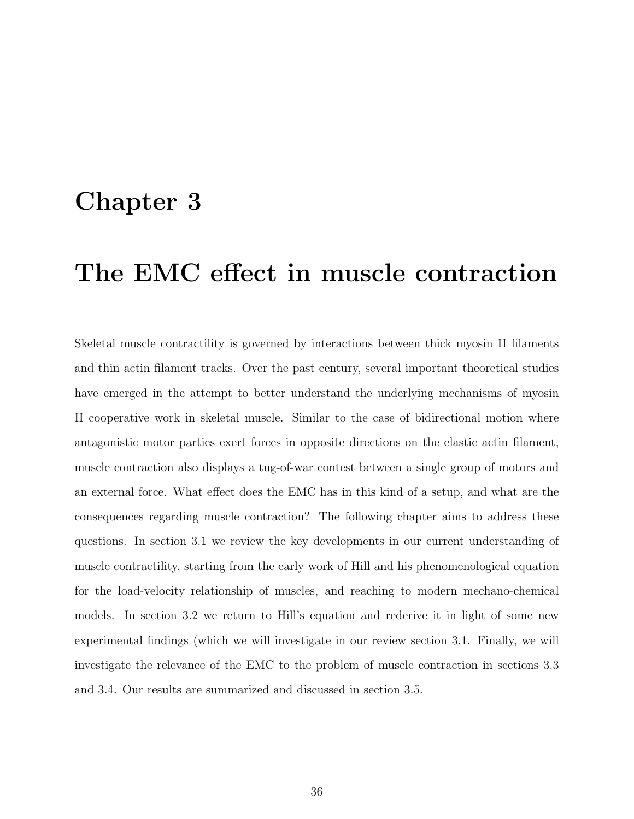# Chapter 3

# The EMC effect in muscle contraction

Skeletal muscle contractility is governed by interactions between thick myosin II filaments and thin actin filament tracks. Over the past century, several important theoretical studies have emerged in the attempt to better understand the underlying mechanisms of myosin II cooperative work in skeletal muscle. Similar to the case of bidirectional motion where antagonistic motor parties exert forces in opposite directions on the elastic actin filament, muscle contraction also displays a tug-of-war contest between a single group of motors and an external force. What effect does the EMC has in this kind of a setup, and what are the consequences regarding muscle contraction? The following chapter aims to address these questions. In section 3.1 we review the key developments in our current understanding of muscle contractility, starting from the early work of Hill and his phenomenological equation for the load-velocity relationship of muscles, and reaching to modern mechano-chemical models. In section 3.2 we return to Hill's equation and rederive it in light of some new experimental findings (which we will investigate in our review section 3.1. Finally, we will investigate the relevance of the EMC to the problem of muscle contraction in sections 3.3 and 3.4. Our results are summarized and discussed in section 3.5.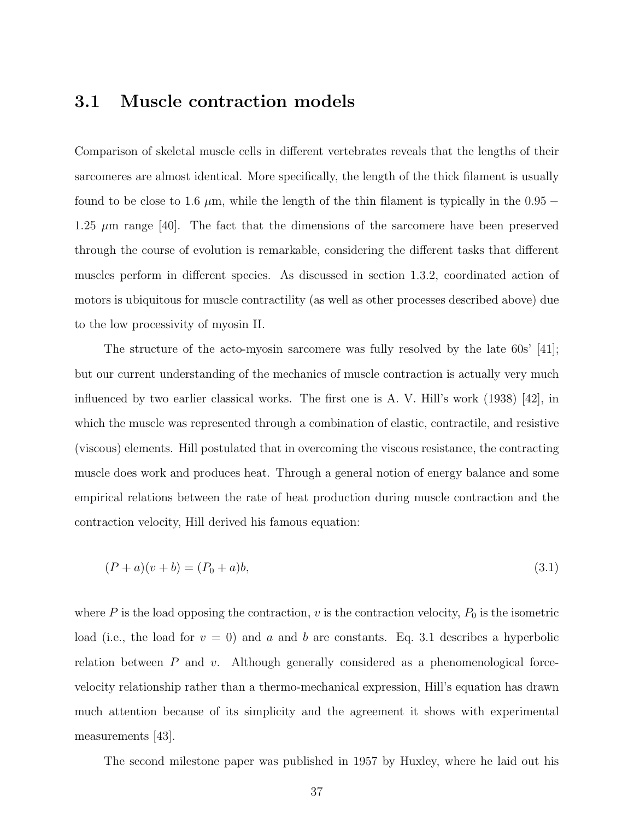#### 3.1 Muscle contraction models

Comparison of skeletal muscle cells in different vertebrates reveals that the lengths of their sarcomeres are almost identical. More specifically, the length of the thick filament is usually found to be close to 1.6  $\mu$ m, while the length of the thin filament is typically in the 0.95 − 1.25 µm range [40]. The fact that the dimensions of the sarcomere have been preserved through the course of evolution is remarkable, considering the different tasks that different muscles perform in different species. As discussed in section 1.3.2, coordinated action of motors is ubiquitous for muscle contractility (as well as other processes described above) due to the low processivity of myosin II.

The structure of the acto-myosin sarcomere was fully resolved by the late 60s' [41]; but our current understanding of the mechanics of muscle contraction is actually very much influenced by two earlier classical works. The first one is A. V. Hill's work (1938) [42], in which the muscle was represented through a combination of elastic, contractile, and resistive (viscous) elements. Hill postulated that in overcoming the viscous resistance, the contracting muscle does work and produces heat. Through a general notion of energy balance and some empirical relations between the rate of heat production during muscle contraction and the contraction velocity, Hill derived his famous equation:

$$
(P + a)(v + b) = (P_0 + a)b,
$$
\n(3.1)

where  $P$  is the load opposing the contraction,  $v$  is the contraction velocity,  $P_0$  is the isometric load (i.e., the load for  $v = 0$ ) and a and b are constants. Eq. 3.1 describes a hyperbolic relation between  $P$  and  $v$ . Although generally considered as a phenomenological forcevelocity relationship rather than a thermo-mechanical expression, Hill's equation has drawn much attention because of its simplicity and the agreement it shows with experimental measurements [43].

The second milestone paper was published in 1957 by Huxley, where he laid out his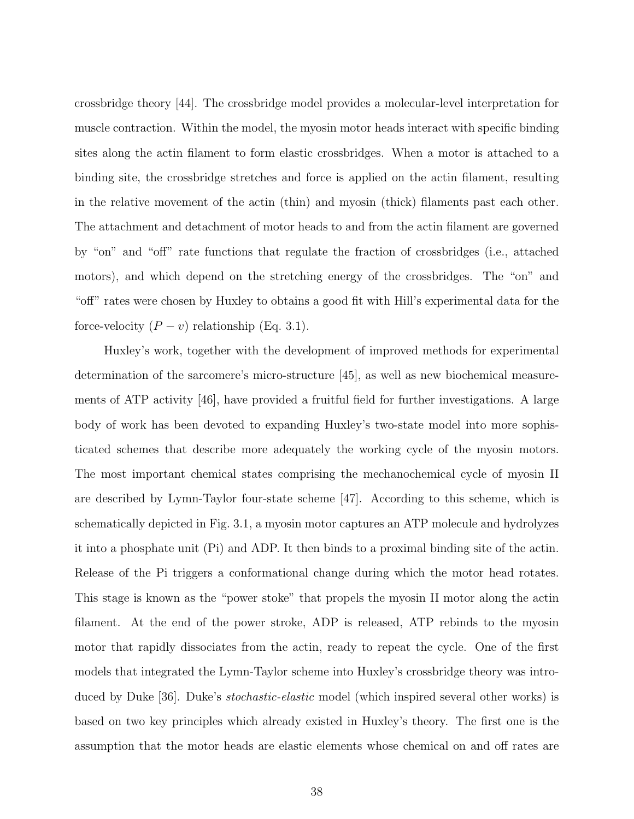crossbridge theory [44]. The crossbridge model provides a molecular-level interpretation for muscle contraction. Within the model, the myosin motor heads interact with specific binding sites along the actin filament to form elastic crossbridges. When a motor is attached to a binding site, the crossbridge stretches and force is applied on the actin filament, resulting in the relative movement of the actin (thin) and myosin (thick) filaments past each other. The attachment and detachment of motor heads to and from the actin filament are governed by "on" and "off" rate functions that regulate the fraction of crossbridges (i.e., attached motors), and which depend on the stretching energy of the crossbridges. The "on" and "off" rates were chosen by Huxley to obtains a good fit with Hill's experimental data for the force-velocity  $(P - v)$  relationship (Eq. 3.1).

Huxley's work, together with the development of improved methods for experimental determination of the sarcomere's micro-structure [45], as well as new biochemical measurements of ATP activity [46], have provided a fruitful field for further investigations. A large body of work has been devoted to expanding Huxley's two-state model into more sophisticated schemes that describe more adequately the working cycle of the myosin motors. The most important chemical states comprising the mechanochemical cycle of myosin II are described by Lymn-Taylor four-state scheme [47]. According to this scheme, which is schematically depicted in Fig. 3.1, a myosin motor captures an ATP molecule and hydrolyzes it into a phosphate unit (Pi) and ADP. It then binds to a proximal binding site of the actin. Release of the Pi triggers a conformational change during which the motor head rotates. This stage is known as the "power stoke" that propels the myosin II motor along the actin filament. At the end of the power stroke, ADP is released, ATP rebinds to the myosin motor that rapidly dissociates from the actin, ready to repeat the cycle. One of the first models that integrated the Lymn-Taylor scheme into Huxley's crossbridge theory was introduced by Duke [36]. Duke's stochastic-elastic model (which inspired several other works) is based on two key principles which already existed in Huxley's theory. The first one is the assumption that the motor heads are elastic elements whose chemical on and off rates are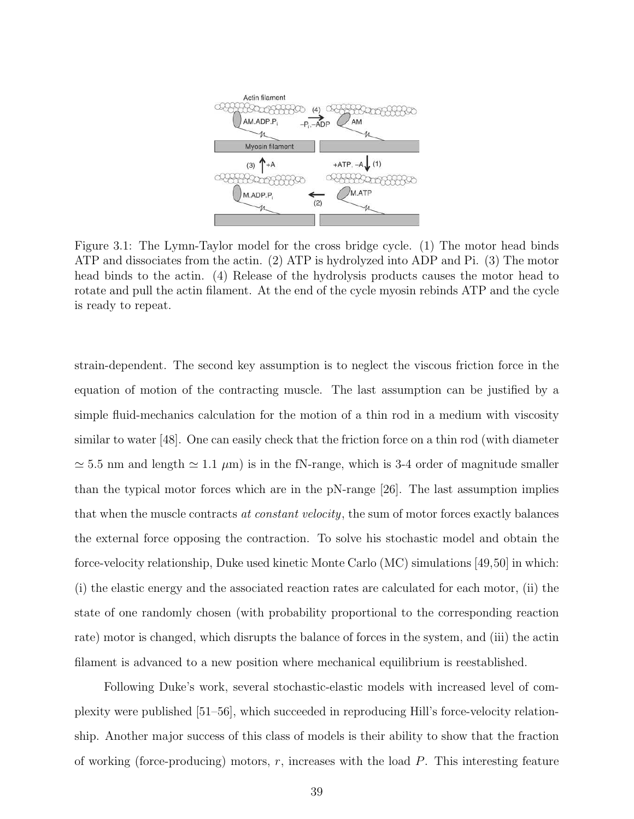

Figure 3.1: The Lymn-Taylor model for the cross bridge cycle. (1) The motor head binds ATP and dissociates from the actin. (2) ATP is hydrolyzed into ADP and Pi. (3) The motor head binds to the actin. (4) Release of the hydrolysis products causes the motor head to rotate and pull the actin filament. At the end of the cycle myosin rebinds ATP and the cycle is ready to repeat.

strain-dependent. The second key assumption is to neglect the viscous friction force in the equation of motion of the contracting muscle. The last assumption can be justified by a simple fluid-mechanics calculation for the motion of a thin rod in a medium with viscosity similar to water [48]. One can easily check that the friction force on a thin rod (with diameter  $\simeq 5.5$  nm and length  $\simeq 1.1 \ \mu \text{m}$ ) is in the fN-range, which is 3-4 order of magnitude smaller than the typical motor forces which are in the pN-range [26]. The last assumption implies that when the muscle contracts at constant velocity, the sum of motor forces exactly balances the external force opposing the contraction. To solve his stochastic model and obtain the force-velocity relationship, Duke used kinetic Monte Carlo (MC) simulations [49,50] in which: (i) the elastic energy and the associated reaction rates are calculated for each motor, (ii) the state of one randomly chosen (with probability proportional to the corresponding reaction rate) motor is changed, which disrupts the balance of forces in the system, and (iii) the actin filament is advanced to a new position where mechanical equilibrium is reestablished.

Following Duke's work, several stochastic-elastic models with increased level of complexity were published [51–56], which succeeded in reproducing Hill's force-velocity relationship. Another major success of this class of models is their ability to show that the fraction of working (force-producing) motors,  $r$ , increases with the load  $P$ . This interesting feature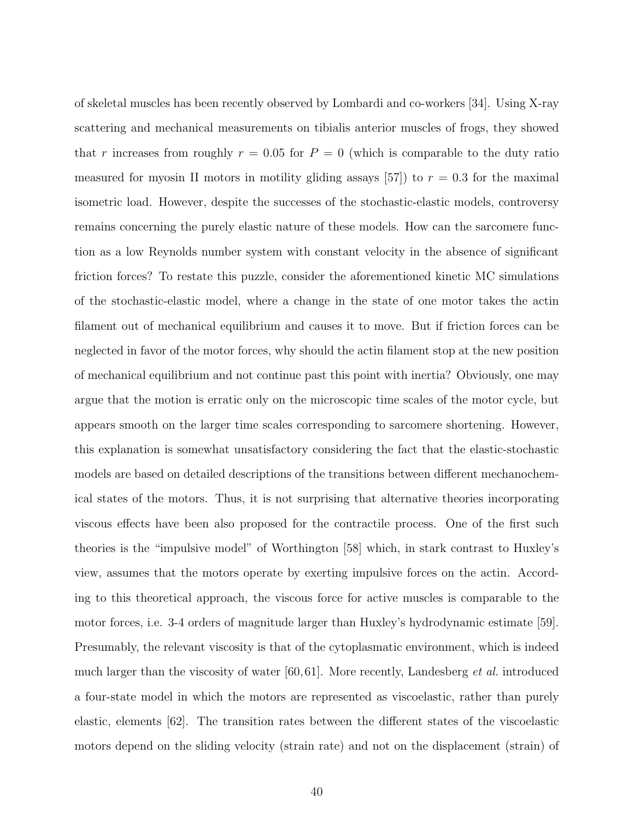of skeletal muscles has been recently observed by Lombardi and co-workers [34]. Using X-ray scattering and mechanical measurements on tibialis anterior muscles of frogs, they showed that r increases from roughly  $r = 0.05$  for  $P = 0$  (which is comparable to the duty ratio measured for myosin II motors in motility gliding assays [57]) to  $r = 0.3$  for the maximal isometric load. However, despite the successes of the stochastic-elastic models, controversy remains concerning the purely elastic nature of these models. How can the sarcomere function as a low Reynolds number system with constant velocity in the absence of significant friction forces? To restate this puzzle, consider the aforementioned kinetic MC simulations of the stochastic-elastic model, where a change in the state of one motor takes the actin filament out of mechanical equilibrium and causes it to move. But if friction forces can be neglected in favor of the motor forces, why should the actin filament stop at the new position of mechanical equilibrium and not continue past this point with inertia? Obviously, one may argue that the motion is erratic only on the microscopic time scales of the motor cycle, but appears smooth on the larger time scales corresponding to sarcomere shortening. However, this explanation is somewhat unsatisfactory considering the fact that the elastic-stochastic models are based on detailed descriptions of the transitions between different mechanochemical states of the motors. Thus, it is not surprising that alternative theories incorporating viscous effects have been also proposed for the contractile process. One of the first such theories is the "impulsive model" of Worthington [58] which, in stark contrast to Huxley's view, assumes that the motors operate by exerting impulsive forces on the actin. According to this theoretical approach, the viscous force for active muscles is comparable to the motor forces, i.e. 3-4 orders of magnitude larger than Huxley's hydrodynamic estimate [59]. Presumably, the relevant viscosity is that of the cytoplasmatic environment, which is indeed much larger than the viscosity of water [60,61]. More recently, Landesberg et al. introduced a four-state model in which the motors are represented as viscoelastic, rather than purely elastic, elements [62]. The transition rates between the different states of the viscoelastic motors depend on the sliding velocity (strain rate) and not on the displacement (strain) of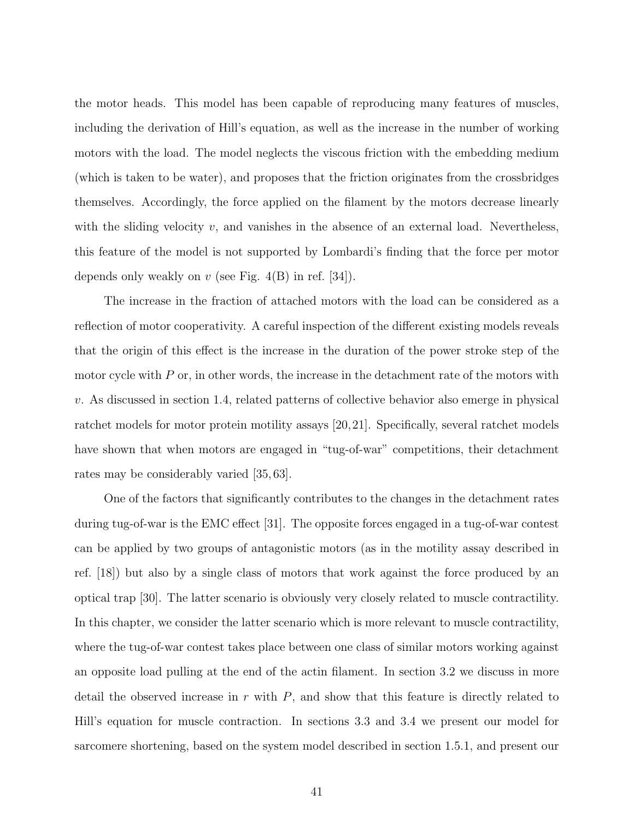the motor heads. This model has been capable of reproducing many features of muscles, including the derivation of Hill's equation, as well as the increase in the number of working motors with the load. The model neglects the viscous friction with the embedding medium (which is taken to be water), and proposes that the friction originates from the crossbridges themselves. Accordingly, the force applied on the filament by the motors decrease linearly with the sliding velocity  $v$ , and vanishes in the absence of an external load. Nevertheless, this feature of the model is not supported by Lombardi's finding that the force per motor depends only weakly on  $v$  (see Fig. 4(B) in ref. [34]).

The increase in the fraction of attached motors with the load can be considered as a reflection of motor cooperativity. A careful inspection of the different existing models reveals that the origin of this effect is the increase in the duration of the power stroke step of the motor cycle with  $P$  or, in other words, the increase in the detachment rate of the motors with v. As discussed in section 1.4, related patterns of collective behavior also emerge in physical ratchet models for motor protein motility assays [20,21]. Specifically, several ratchet models have shown that when motors are engaged in "tug-of-war" competitions, their detachment rates may be considerably varied [35, 63].

One of the factors that significantly contributes to the changes in the detachment rates during tug-of-war is the EMC effect [31]. The opposite forces engaged in a tug-of-war contest can be applied by two groups of antagonistic motors (as in the motility assay described in ref. [18]) but also by a single class of motors that work against the force produced by an optical trap [30]. The latter scenario is obviously very closely related to muscle contractility. In this chapter, we consider the latter scenario which is more relevant to muscle contractility, where the tug-of-war contest takes place between one class of similar motors working against an opposite load pulling at the end of the actin filament. In section 3.2 we discuss in more detail the observed increase in  $r$  with  $P$ , and show that this feature is directly related to Hill's equation for muscle contraction. In sections 3.3 and 3.4 we present our model for sarcomere shortening, based on the system model described in section 1.5.1, and present our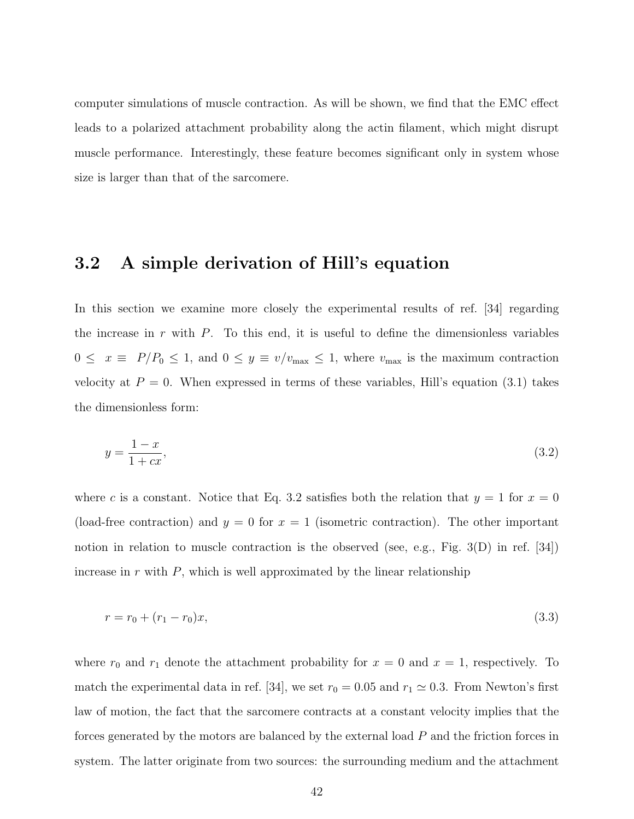computer simulations of muscle contraction. As will be shown, we find that the EMC effect leads to a polarized attachment probability along the actin filament, which might disrupt muscle performance. Interestingly, these feature becomes significant only in system whose size is larger than that of the sarcomere.

#### 3.2 A simple derivation of Hill's equation

In this section we examine more closely the experimental results of ref. [34] regarding the increase in r with  $P$ . To this end, it is useful to define the dimensionless variables  $0 \leq x \equiv P/P_0 \leq 1$ , and  $0 \leq y \equiv v/v_{\text{max}} \leq 1$ , where  $v_{\text{max}}$  is the maximum contraction velocity at  $P = 0$ . When expressed in terms of these variables, Hill's equation (3.1) takes the dimensionless form:

$$
y = \frac{1 - x}{1 + cx},\tag{3.2}
$$

where c is a constant. Notice that Eq. 3.2 satisfies both the relation that  $y = 1$  for  $x = 0$ (load-free contraction) and  $y = 0$  for  $x = 1$  (isometric contraction). The other important notion in relation to muscle contraction is the observed (see, e.g., Fig.  $3(D)$  in ref. [34]) increase in  $r$  with  $P$ , which is well approximated by the linear relationship

$$
r = r_0 + (r_1 - r_0)x,\tag{3.3}
$$

where  $r_0$  and  $r_1$  denote the attachment probability for  $x = 0$  and  $x = 1$ , respectively. To match the experimental data in ref. [34], we set  $r_0 = 0.05$  and  $r_1 \approx 0.3$ . From Newton's first law of motion, the fact that the sarcomere contracts at a constant velocity implies that the forces generated by the motors are balanced by the external load P and the friction forces in system. The latter originate from two sources: the surrounding medium and the attachment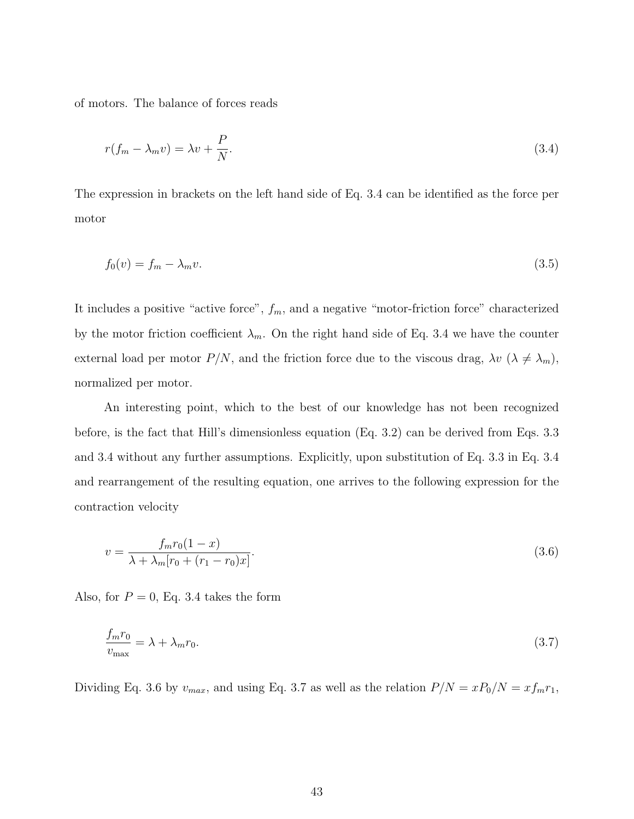of motors. The balance of forces reads

$$
r(f_m - \lambda_m v) = \lambda v + \frac{P}{N}.\tag{3.4}
$$

The expression in brackets on the left hand side of Eq. 3.4 can be identified as the force per motor

$$
f_0(v) = f_m - \lambda_m v. \tag{3.5}
$$

It includes a positive "active force",  $f_m$ , and a negative "motor-friction force" characterized by the motor friction coefficient  $\lambda_m$ . On the right hand side of Eq. 3.4 we have the counter external load per motor  $P/N$ , and the friction force due to the viscous drag,  $\lambda v$  ( $\lambda \neq \lambda_m$ ), normalized per motor.

An interesting point, which to the best of our knowledge has not been recognized before, is the fact that Hill's dimensionless equation (Eq. 3.2) can be derived from Eqs. 3.3 and 3.4 without any further assumptions. Explicitly, upon substitution of Eq. 3.3 in Eq. 3.4 and rearrangement of the resulting equation, one arrives to the following expression for the contraction velocity

$$
v = \frac{f_m r_0 (1 - x)}{\lambda + \lambda_m [r_0 + (r_1 - r_0)x]}.
$$
\n(3.6)

Also, for  $P = 0$ , Eq. 3.4 takes the form

$$
\frac{f_m r_0}{v_{\text{max}}} = \lambda + \lambda_m r_0. \tag{3.7}
$$

Dividing Eq. 3.6 by  $v_{max}$ , and using Eq. 3.7 as well as the relation  $P/N = xP_0/N = xf_m r_1$ ,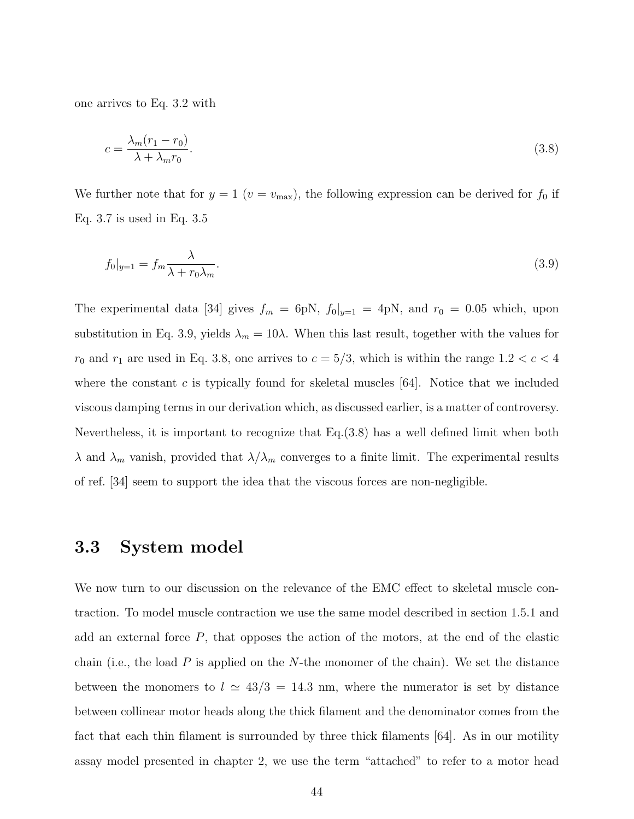one arrives to Eq. 3.2 with

$$
c = \frac{\lambda_m (r_1 - r_0)}{\lambda + \lambda_m r_0}.
$$
\n(3.8)

We further note that for  $y = 1$  ( $v = v_{\text{max}}$ ), the following expression can be derived for  $f_0$  if Eq. 3.7 is used in Eq. 3.5

$$
f_0|_{y=1} = f_m \frac{\lambda}{\lambda + r_0 \lambda_m}.\tag{3.9}
$$

The experimental data [34] gives  $f_m = 6pN$ ,  $f_0|_{y=1} = 4pN$ , and  $r_0 = 0.05$  which, upon substitution in Eq. 3.9, yields  $\lambda_m = 10\lambda$ . When this last result, together with the values for  $r_0$  and  $r_1$  are used in Eq. 3.8, one arrives to  $c = 5/3$ , which is within the range  $1.2 < c < 4$ where the constant c is typically found for skeletal muscles  $[64]$ . Notice that we included viscous damping terms in our derivation which, as discussed earlier, is a matter of controversy. Nevertheless, it is important to recognize that Eq.(3.8) has a well defined limit when both  $\lambda$  and  $\lambda_m$  vanish, provided that  $\lambda/\lambda_m$  converges to a finite limit. The experimental results of ref. [34] seem to support the idea that the viscous forces are non-negligible.

#### 3.3 System model

We now turn to our discussion on the relevance of the EMC effect to skeletal muscle contraction. To model muscle contraction we use the same model described in section 1.5.1 and add an external force  $P$ , that opposes the action of the motors, at the end of the elastic chain (i.e., the load  $P$  is applied on the N-the monomer of the chain). We set the distance between the monomers to  $l \approx 43/3 = 14.3$  nm, where the numerator is set by distance between collinear motor heads along the thick filament and the denominator comes from the fact that each thin filament is surrounded by three thick filaments [64]. As in our motility assay model presented in chapter 2, we use the term "attached" to refer to a motor head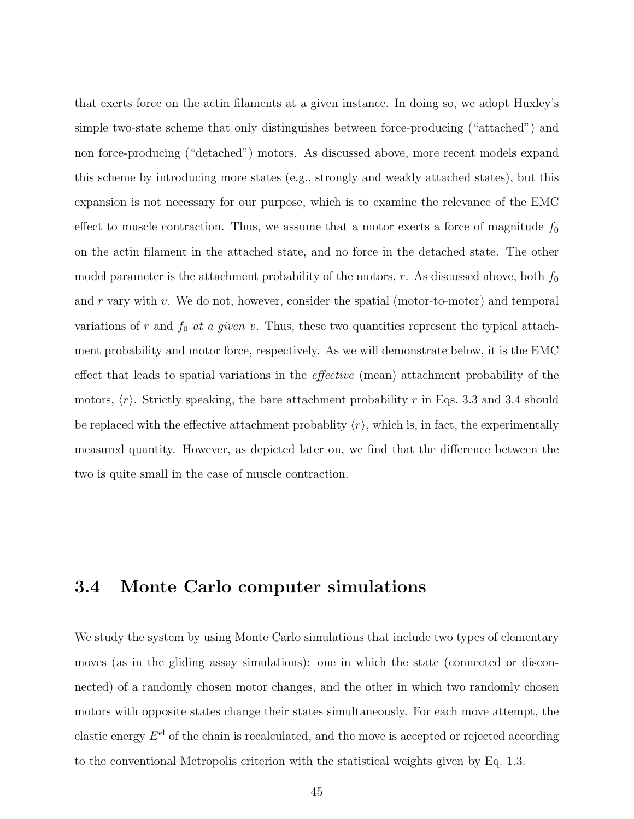that exerts force on the actin filaments at a given instance. In doing so, we adopt Huxley's simple two-state scheme that only distinguishes between force-producing ("attached") and non force-producing ("detached") motors. As discussed above, more recent models expand this scheme by introducing more states (e.g., strongly and weakly attached states), but this expansion is not necessary for our purpose, which is to examine the relevance of the EMC effect to muscle contraction. Thus, we assume that a motor exerts a force of magnitude  $f_0$ on the actin filament in the attached state, and no force in the detached state. The other model parameter is the attachment probability of the motors, r. As discussed above, both  $f_0$ and  $r$  vary with  $v$ . We do not, however, consider the spatial (motor-to-motor) and temporal variations of r and  $f_0$  at a given v. Thus, these two quantities represent the typical attachment probability and motor force, respectively. As we will demonstrate below, it is the EMC effect that leads to spatial variations in the effective (mean) attachment probability of the motors,  $\langle r \rangle$ . Strictly speaking, the bare attachment probability r in Eqs. 3.3 and 3.4 should be replaced with the effective attachment probablity  $\langle r \rangle$ , which is, in fact, the experimentally measured quantity. However, as depicted later on, we find that the difference between the two is quite small in the case of muscle contraction.

## 3.4 Monte Carlo computer simulations

We study the system by using Monte Carlo simulations that include two types of elementary moves (as in the gliding assay simulations): one in which the state (connected or disconnected) of a randomly chosen motor changes, and the other in which two randomly chosen motors with opposite states change their states simultaneously. For each move attempt, the elastic energy  $E<sup>el</sup>$  of the chain is recalculated, and the move is accepted or rejected according to the conventional Metropolis criterion with the statistical weights given by Eq. 1.3.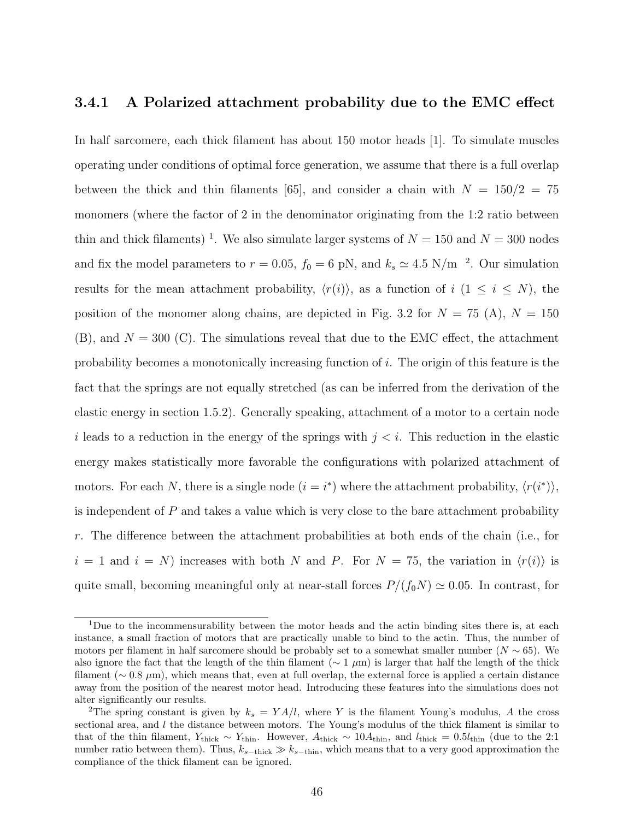#### 3.4.1 A Polarized attachment probability due to the EMC effect

In half sarcomere, each thick filament has about 150 motor heads [1]. To simulate muscles operating under conditions of optimal force generation, we assume that there is a full overlap between the thick and thin filaments [65], and consider a chain with  $N = 150/2 = 75$ monomers (where the factor of 2 in the denominator originating from the 1:2 ratio between thin and thick filaments)<sup>1</sup>. We also simulate larger systems of  $N = 150$  and  $N = 300$  nodes and fix the model parameters to  $r = 0.05$ ,  $f_0 = 6$  pN, and  $k_s \simeq 4.5$  N/m<sup>2</sup>. Our simulation results for the mean attachment probability,  $\langle r(i) \rangle$ , as a function of  $i$  (1  $\leq i \leq N$ ), the position of the monomer along chains, are depicted in Fig. 3.2 for  $N = 75$  (A),  $N = 150$  $(B)$ , and  $N = 300$  (C). The simulations reveal that due to the EMC effect, the attachment probability becomes a monotonically increasing function of  $i$ . The origin of this feature is the fact that the springs are not equally stretched (as can be inferred from the derivation of the elastic energy in section 1.5.2). Generally speaking, attachment of a motor to a certain node i leads to a reduction in the energy of the springs with  $j < i$ . This reduction in the elastic energy makes statistically more favorable the configurations with polarized attachment of motors. For each N, there is a single node  $(i = i^*)$  where the attachment probability,  $\langle r(i^*) \rangle$ , is independent of  $P$  and takes a value which is very close to the bare attachment probability r. The difference between the attachment probabilities at both ends of the chain (i.e., for  $i = 1$  and  $i = N$ ) increases with both N and P. For  $N = 75$ , the variation in  $\langle r(i) \rangle$  is quite small, becoming meaningful only at near-stall forces  $P/(f_0N) \simeq 0.05$ . In contrast, for

<sup>&</sup>lt;sup>1</sup>Due to the incommensurability between the motor heads and the actin binding sites there is, at each instance, a small fraction of motors that are practically unable to bind to the actin. Thus, the number of motors per filament in half sarcomere should be probably set to a somewhat smaller number ( $N \sim 65$ ). We also ignore the fact that the length of the thin filament ( $\sim 1 \mu m$ ) is larger that half the length of the thick filament (∼ 0.8  $\mu$ m), which means that, even at full overlap, the external force is applied a certain distance away from the position of the nearest motor head. Introducing these features into the simulations does not alter significantly our results.

<sup>&</sup>lt;sup>2</sup>The spring constant is given by  $k_s = YA/l$ , where Y is the filament Young's modulus, A the cross sectional area, and  $l$  the distance between motors. The Young's modulus of the thick filament is similar to that of the thin filament,  $Y_{\text{thick}} \sim Y_{\text{thin}}$ . However,  $A_{\text{thick}} \sim 10 A_{\text{thin}}$ , and  $l_{\text{thick}} = 0.5 l_{\text{thin}}$  (due to the 2:1 number ratio between them). Thus,  $k_{s-\text{thick}} \gg k_{s-\text{thin}}$ , which means that to a very good approximation the compliance of the thick filament can be ignored.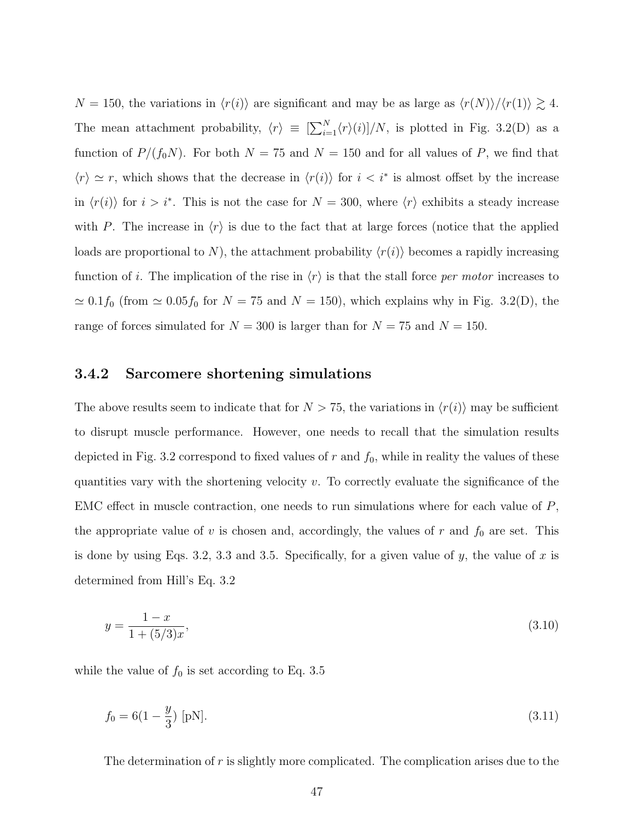$N = 150$ , the variations in  $\langle r(i) \rangle$  are significant and may be as large as  $\langle r(N) \rangle / \langle r(1) \rangle \gtrsim 4$ . The mean attachment probability,  $\langle r \rangle \equiv \left[ \sum_{i=1}^{N} \langle r \rangle(i) \right] / N$ , is plotted in Fig. 3.2(D) as a function of  $P/(f_0N)$ . For both  $N = 75$  and  $N = 150$  and for all values of P, we find that  $\langle r \rangle \simeq r$ , which shows that the decrease in  $\langle r(i) \rangle$  for  $i < i^*$  is almost offset by the increase in  $\langle r(i) \rangle$  for  $i > i^*$ . This is not the case for  $N = 300$ , where  $\langle r \rangle$  exhibits a steady increase with P. The increase in  $\langle r \rangle$  is due to the fact that at large forces (notice that the applied loads are proportional to N), the attachment probability  $\langle r(i) \rangle$  becomes a rapidly increasing function of i. The implication of the rise in  $\langle r \rangle$  is that the stall force per motor increases to  $\simeq 0.1f_0$  (from  $\simeq 0.05f_0$  for  $N = 75$  and  $N = 150$ ), which explains why in Fig. 3.2(D), the range of forces simulated for  $N = 300$  is larger than for  $N = 75$  and  $N = 150$ .

#### 3.4.2 Sarcomere shortening simulations

The above results seem to indicate that for  $N > 75$ , the variations in  $\langle r(i) \rangle$  may be sufficient to disrupt muscle performance. However, one needs to recall that the simulation results depicted in Fig. 3.2 correspond to fixed values of  $r$  and  $f_0$ , while in reality the values of these quantities vary with the shortening velocity  $v$ . To correctly evaluate the significance of the EMC effect in muscle contraction, one needs to run simulations where for each value of  $P$ , the appropriate value of v is chosen and, accordingly, the values of r and  $f_0$  are set. This is done by using Eqs. 3.2, 3.3 and 3.5. Specifically, for a given value of  $y$ , the value of  $x$  is determined from Hill's Eq. 3.2

$$
y = \frac{1 - x}{1 + (5/3)x},\tag{3.10}
$$

while the value of  $f_0$  is set according to Eq. 3.5

$$
f_0 = 6(1 - \frac{y}{3}) \text{ [pN]}.
$$
\n(3.11)

The determination of  $r$  is slightly more complicated. The complication arises due to the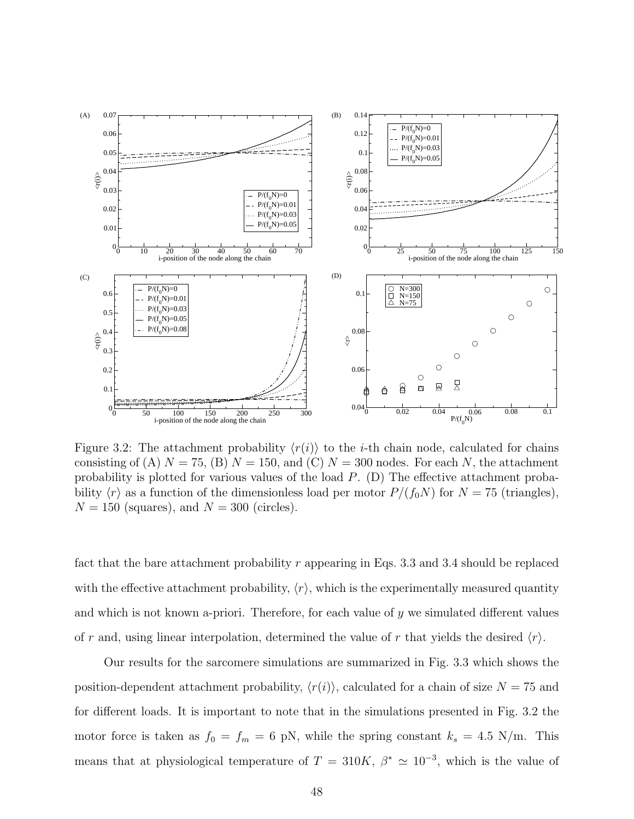

Figure 3.2: The attachment probability  $\langle r(i) \rangle$  to the *i*-th chain node, calculated for chains consisting of (A)  $N = 75$ , (B)  $N = 150$ , and (C)  $N = 300$  nodes. For each N, the attachment probability is plotted for various values of the load P. (D) The effective attachment probability  $\langle r \rangle$  as a function of the dimensionless load per motor  $P/(f_0N)$  for  $N = 75$  (triangles),  $N = 150$  (squares), and  $N = 300$  (circles).

fact that the bare attachment probability r appearing in Eqs. 3.3 and 3.4 should be replaced with the effective attachment probability,  $\langle r \rangle$ , which is the experimentally measured quantity and which is not known a-priori. Therefore, for each value of  $y$  we simulated different values of r and, using linear interpolation, determined the value of r that yields the desired  $\langle r \rangle$ .

Our results for the sarcomere simulations are summarized in Fig. 3.3 which shows the position-dependent attachment probability,  $\langle r(i) \rangle$ , calculated for a chain of size  $N = 75$  and for different loads. It is important to note that in the simulations presented in Fig. 3.2 the motor force is taken as  $f_0 = f_m = 6$  pN, while the spring constant  $k_s = 4.5$  N/m. This means that at physiological temperature of  $T = 310K$ ,  $\beta^* \simeq 10^{-3}$ , which is the value of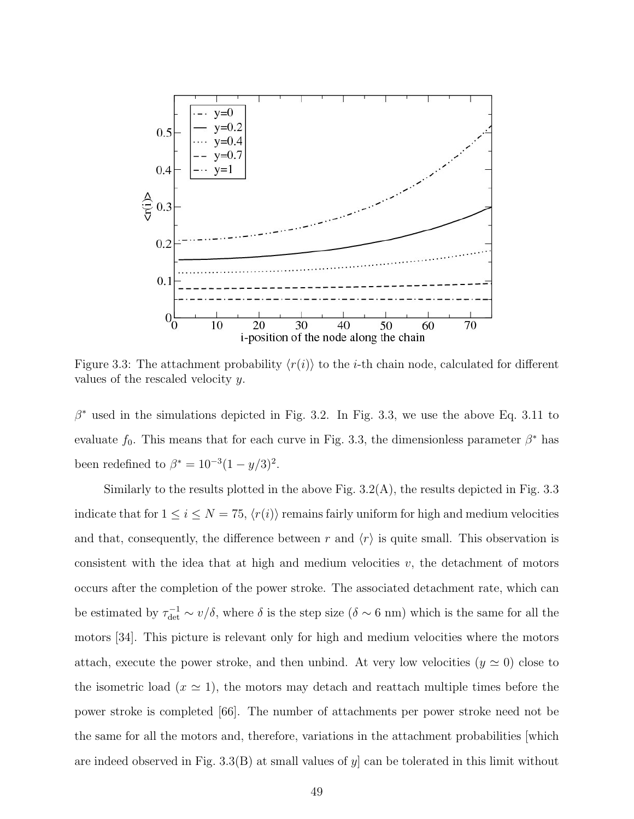

Figure 3.3: The attachment probability  $\langle r(i) \rangle$  to the *i*-th chain node, calculated for different values of the rescaled velocity y.

 $\beta^*$  used in the simulations depicted in Fig. 3.2. In Fig. 3.3, we use the above Eq. 3.11 to evaluate  $f_0$ . This means that for each curve in Fig. 3.3, the dimensionless parameter  $\beta^*$  has been redefined to  $\beta^* = 10^{-3}(1 - y/3)^2$ .

Similarly to the results plotted in the above Fig.  $3.2(A)$ , the results depicted in Fig. 3.3 indicate that for  $1 \leq i \leq N = 75$ ,  $\langle r(i) \rangle$  remains fairly uniform for high and medium velocities and that, consequently, the difference between r and  $\langle r \rangle$  is quite small. This observation is consistent with the idea that at high and medium velocities  $v$ , the detachment of motors occurs after the completion of the power stroke. The associated detachment rate, which can be estimated by  $\tau_{\det}^{-1} \sim v/\delta$ , where  $\delta$  is the step size  $(\delta \sim 6 \text{ nm})$  which is the same for all the motors [34]. This picture is relevant only for high and medium velocities where the motors attach, execute the power stroke, and then unbind. At very low velocities  $(y \simeq 0)$  close to the isometric load  $(x \approx 1)$ , the motors may detach and reattach multiple times before the power stroke is completed [66]. The number of attachments per power stroke need not be the same for all the motors and, therefore, variations in the attachment probabilities [which are indeed observed in Fig.  $3.3(B)$  at small values of y can be tolerated in this limit without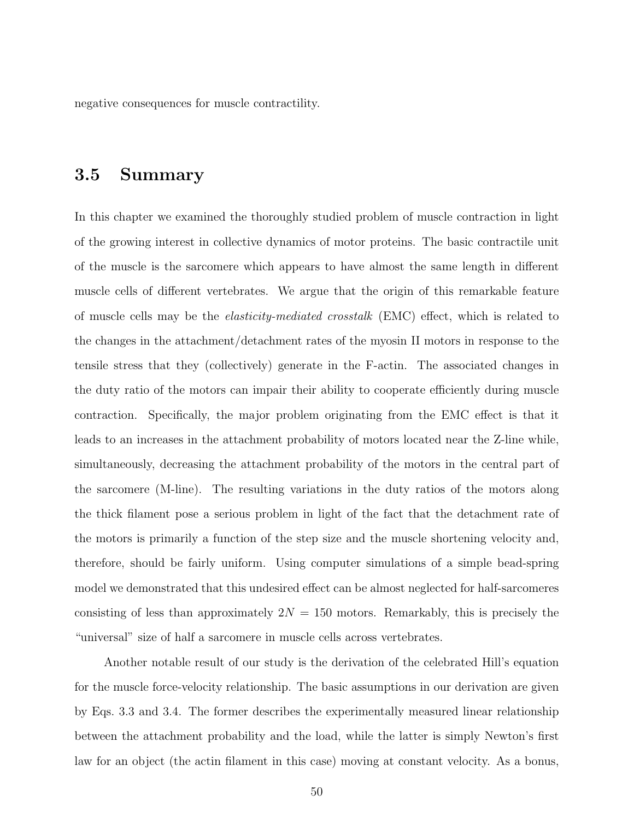negative consequences for muscle contractility.

## 3.5 Summary

In this chapter we examined the thoroughly studied problem of muscle contraction in light of the growing interest in collective dynamics of motor proteins. The basic contractile unit of the muscle is the sarcomere which appears to have almost the same length in different muscle cells of different vertebrates. We argue that the origin of this remarkable feature of muscle cells may be the elasticity-mediated crosstalk (EMC) effect, which is related to the changes in the attachment/detachment rates of the myosin II motors in response to the tensile stress that they (collectively) generate in the F-actin. The associated changes in the duty ratio of the motors can impair their ability to cooperate efficiently during muscle contraction. Specifically, the major problem originating from the EMC effect is that it leads to an increases in the attachment probability of motors located near the Z-line while, simultaneously, decreasing the attachment probability of the motors in the central part of the sarcomere (M-line). The resulting variations in the duty ratios of the motors along the thick filament pose a serious problem in light of the fact that the detachment rate of the motors is primarily a function of the step size and the muscle shortening velocity and, therefore, should be fairly uniform. Using computer simulations of a simple bead-spring model we demonstrated that this undesired effect can be almost neglected for half-sarcomeres consisting of less than approximately  $2N = 150$  motors. Remarkably, this is precisely the "universal" size of half a sarcomere in muscle cells across vertebrates.

Another notable result of our study is the derivation of the celebrated Hill's equation for the muscle force-velocity relationship. The basic assumptions in our derivation are given by Eqs. 3.3 and 3.4. The former describes the experimentally measured linear relationship between the attachment probability and the load, while the latter is simply Newton's first law for an object (the actin filament in this case) moving at constant velocity. As a bonus,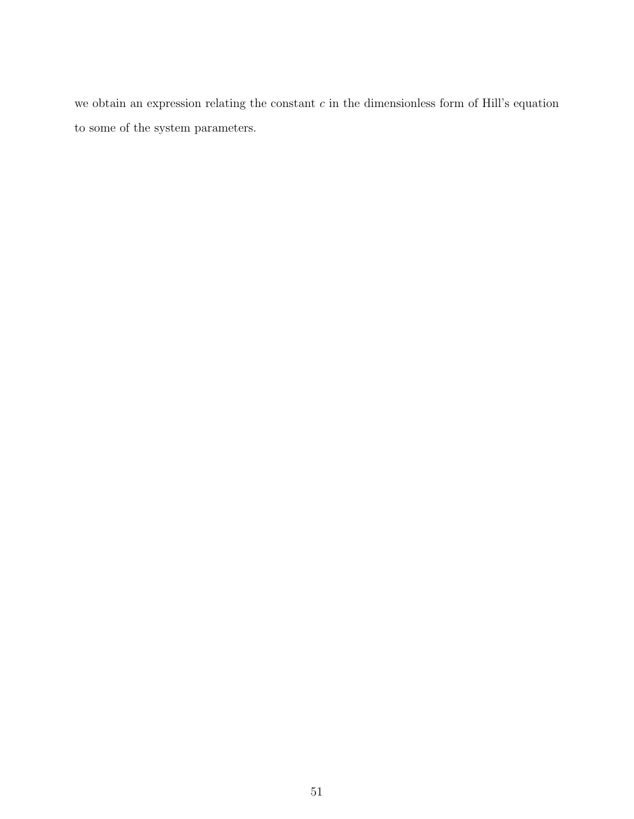we obtain an expression relating the constant  $c$  in the dimensionless form of Hill's equation to some of the system parameters.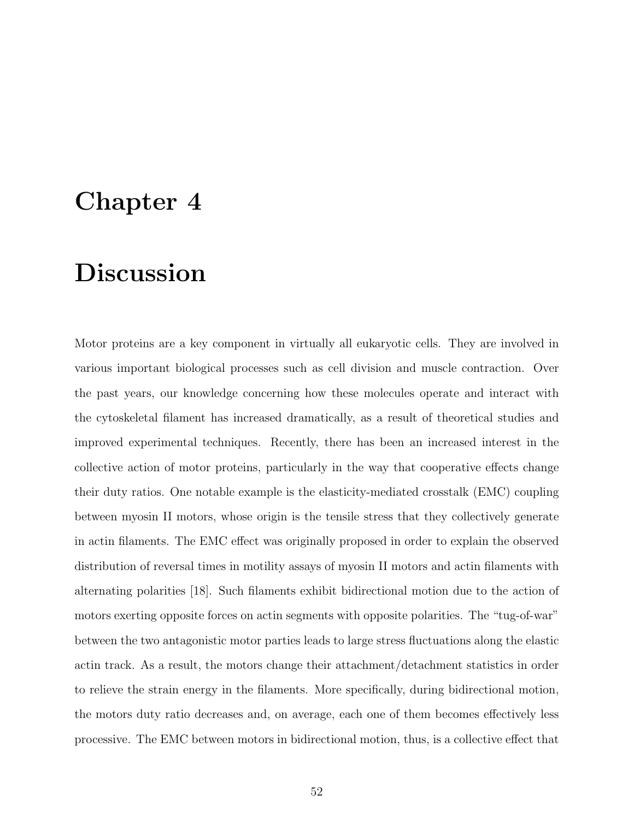# Chapter 4

# **Discussion**

Motor proteins are a key component in virtually all eukaryotic cells. They are involved in various important biological processes such as cell division and muscle contraction. Over the past years, our knowledge concerning how these molecules operate and interact with the cytoskeletal filament has increased dramatically, as a result of theoretical studies and improved experimental techniques. Recently, there has been an increased interest in the collective action of motor proteins, particularly in the way that cooperative effects change their duty ratios. One notable example is the elasticity-mediated crosstalk (EMC) coupling between myosin II motors, whose origin is the tensile stress that they collectively generate in actin filaments. The EMC effect was originally proposed in order to explain the observed distribution of reversal times in motility assays of myosin II motors and actin filaments with alternating polarities [18]. Such filaments exhibit bidirectional motion due to the action of motors exerting opposite forces on actin segments with opposite polarities. The "tug-of-war" between the two antagonistic motor parties leads to large stress fluctuations along the elastic actin track. As a result, the motors change their attachment/detachment statistics in order to relieve the strain energy in the filaments. More specifically, during bidirectional motion, the motors duty ratio decreases and, on average, each one of them becomes effectively less processive. The EMC between motors in bidirectional motion, thus, is a collective effect that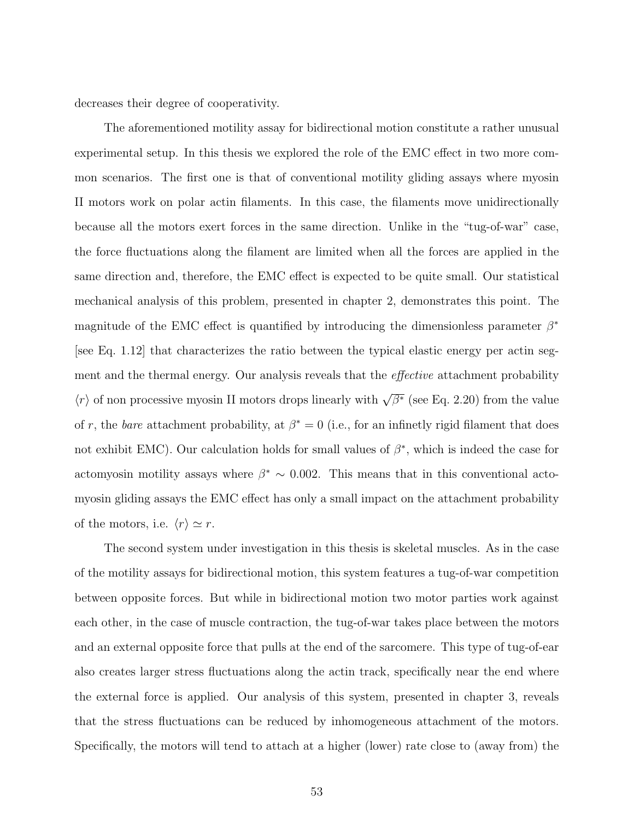decreases their degree of cooperativity.

The aforementioned motility assay for bidirectional motion constitute a rather unusual experimental setup. In this thesis we explored the role of the EMC effect in two more common scenarios. The first one is that of conventional motility gliding assays where myosin II motors work on polar actin filaments. In this case, the filaments move unidirectionally because all the motors exert forces in the same direction. Unlike in the "tug-of-war" case, the force fluctuations along the filament are limited when all the forces are applied in the same direction and, therefore, the EMC effect is expected to be quite small. Our statistical mechanical analysis of this problem, presented in chapter 2, demonstrates this point. The magnitude of the EMC effect is quantified by introducing the dimensionless parameter  $\beta^*$ [see Eq. 1.12] that characterizes the ratio between the typical elastic energy per actin segment and the thermal energy. Our analysis reveals that the *effective* attachment probability  $\langle r \rangle$  of non processive myosin II motors drops linearly with  $\sqrt{\beta^*}$  (see Eq. 2.20) from the value of r, the bare attachment probability, at  $\beta^* = 0$  (i.e., for an infinetly rigid filament that does not exhibit EMC). Our calculation holds for small values of  $\beta^*$ , which is indeed the case for actomyosin motility assays where  $\beta^* \sim 0.002$ . This means that in this conventional actomyosin gliding assays the EMC effect has only a small impact on the attachment probability of the motors, i.e.  $\langle r \rangle \simeq r$ .

The second system under investigation in this thesis is skeletal muscles. As in the case of the motility assays for bidirectional motion, this system features a tug-of-war competition between opposite forces. But while in bidirectional motion two motor parties work against each other, in the case of muscle contraction, the tug-of-war takes place between the motors and an external opposite force that pulls at the end of the sarcomere. This type of tug-of-ear also creates larger stress fluctuations along the actin track, specifically near the end where the external force is applied. Our analysis of this system, presented in chapter 3, reveals that the stress fluctuations can be reduced by inhomogeneous attachment of the motors. Specifically, the motors will tend to attach at a higher (lower) rate close to (away from) the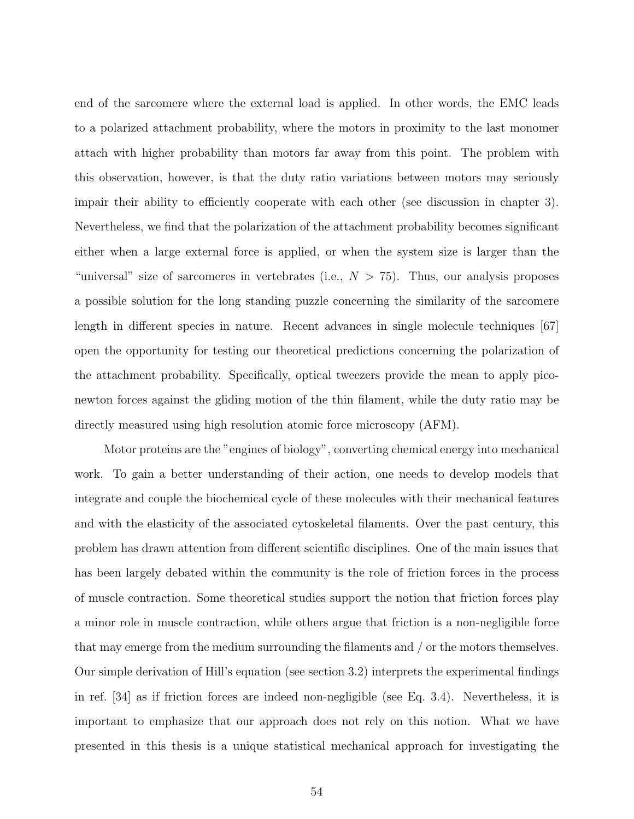end of the sarcomere where the external load is applied. In other words, the EMC leads to a polarized attachment probability, where the motors in proximity to the last monomer attach with higher probability than motors far away from this point. The problem with this observation, however, is that the duty ratio variations between motors may seriously impair their ability to efficiently cooperate with each other (see discussion in chapter 3). Nevertheless, we find that the polarization of the attachment probability becomes significant either when a large external force is applied, or when the system size is larger than the "universal" size of sarcomeres in vertebrates (i.e.,  $N > 75$ ). Thus, our analysis proposes a possible solution for the long standing puzzle concerning the similarity of the sarcomere length in different species in nature. Recent advances in single molecule techniques [67] open the opportunity for testing our theoretical predictions concerning the polarization of the attachment probability. Specifically, optical tweezers provide the mean to apply piconewton forces against the gliding motion of the thin filament, while the duty ratio may be directly measured using high resolution atomic force microscopy (AFM).

Motor proteins are the "engines of biology", converting chemical energy into mechanical work. To gain a better understanding of their action, one needs to develop models that integrate and couple the biochemical cycle of these molecules with their mechanical features and with the elasticity of the associated cytoskeletal filaments. Over the past century, this problem has drawn attention from different scientific disciplines. One of the main issues that has been largely debated within the community is the role of friction forces in the process of muscle contraction. Some theoretical studies support the notion that friction forces play a minor role in muscle contraction, while others argue that friction is a non-negligible force that may emerge from the medium surrounding the filaments and / or the motors themselves. Our simple derivation of Hill's equation (see section 3.2) interprets the experimental findings in ref. [34] as if friction forces are indeed non-negligible (see Eq. 3.4). Nevertheless, it is important to emphasize that our approach does not rely on this notion. What we have presented in this thesis is a unique statistical mechanical approach for investigating the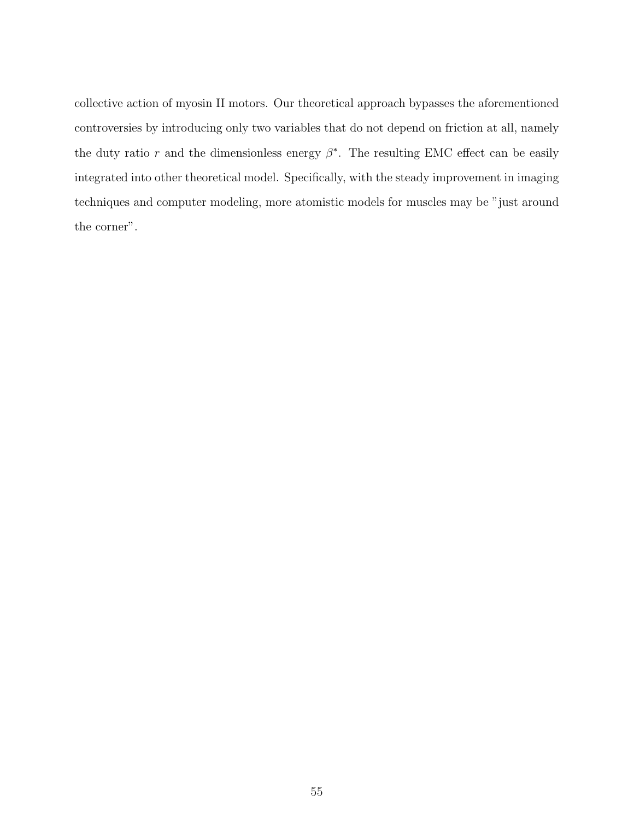collective action of myosin II motors. Our theoretical approach bypasses the aforementioned controversies by introducing only two variables that do not depend on friction at all, namely the duty ratio r and the dimensionless energy  $\beta^*$ . The resulting EMC effect can be easily integrated into other theoretical model. Specifically, with the steady improvement in imaging techniques and computer modeling, more atomistic models for muscles may be "just around the corner".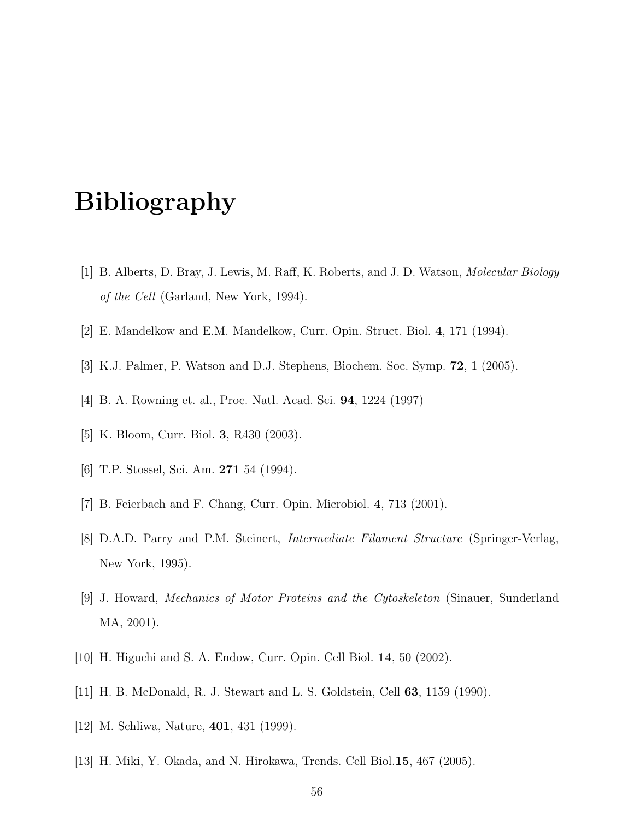# Bibliography

- [1] B. Alberts, D. Bray, J. Lewis, M. Raff, K. Roberts, and J. D. Watson, Molecular Biology of the Cell (Garland, New York, 1994).
- [2] E. Mandelkow and E.M. Mandelkow, Curr. Opin. Struct. Biol. 4, 171 (1994).
- [3] K.J. Palmer, P. Watson and D.J. Stephens, Biochem. Soc. Symp. 72, 1 (2005).
- [4] B. A. Rowning et. al., Proc. Natl. Acad. Sci. 94, 1224 (1997)
- [5] K. Bloom, Curr. Biol. 3, R430 (2003).
- [6] T.P. Stossel, Sci. Am. 271 54 (1994).
- [7] B. Feierbach and F. Chang, Curr. Opin. Microbiol. 4, 713 (2001).
- [8] D.A.D. Parry and P.M. Steinert, Intermediate Filament Structure (Springer-Verlag, New York, 1995).
- [9] J. Howard, Mechanics of Motor Proteins and the Cytoskeleton (Sinauer, Sunderland MA, 2001).
- [10] H. Higuchi and S. A. Endow, Curr. Opin. Cell Biol. 14, 50 (2002).
- [11] H. B. McDonald, R. J. Stewart and L. S. Goldstein, Cell 63, 1159 (1990).
- [12] M. Schliwa, Nature, 401, 431 (1999).
- [13] H. Miki, Y. Okada, and N. Hirokawa, Trends. Cell Biol.15, 467 (2005).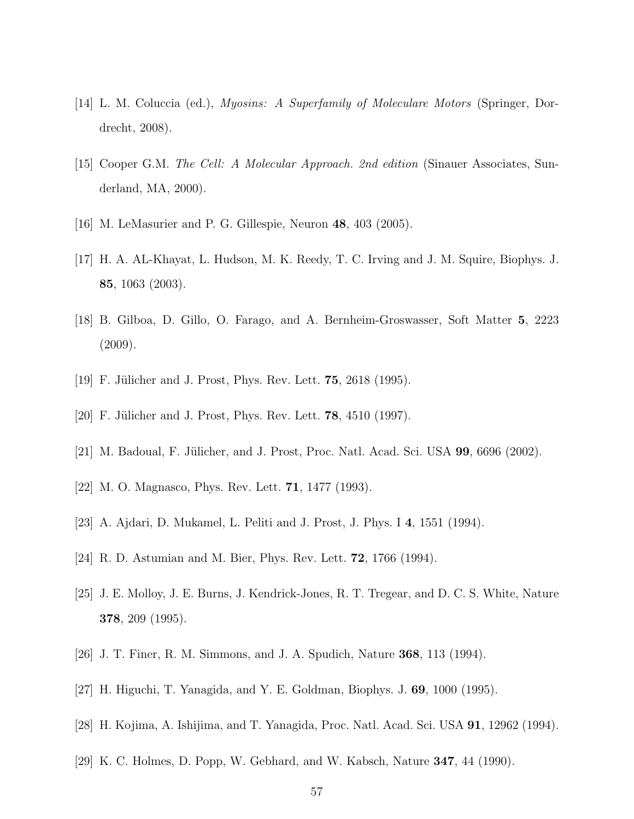- [14] L. M. Coluccia (ed.), Myosins: A Superfamily of Moleculare Motors (Springer, Dordrecht, 2008).
- [15] Cooper G.M. The Cell: A Molecular Approach. 2nd edition (Sinauer Associates, Sunderland, MA, 2000).
- [16] M. LeMasurier and P. G. Gillespie, Neuron 48, 403 (2005).
- [17] H. A. AL-Khayat, L. Hudson, M. K. Reedy, T. C. Irving and J. M. Squire, Biophys. J. 85, 1063 (2003).
- [18] B. Gilboa, D. Gillo, O. Farago, and A. Bernheim-Groswasser, Soft Matter 5, 2223 (2009).
- [19] F. Jülicher and J. Prost, Phys. Rev. Lett. **75**, 2618 (1995).
- [20] F. Jülicher and J. Prost, Phys. Rev. Lett.  $78, 4510$  (1997).
- [21] M. Badoual, F. Jülicher, and J. Prost, Proc. Natl. Acad. Sci. USA  $99, 6696$  (2002).
- [22] M. O. Magnasco, Phys. Rev. Lett. 71, 1477 (1993).
- [23] A. Ajdari, D. Mukamel, L. Peliti and J. Prost, J. Phys. I 4, 1551 (1994).
- [24] R. D. Astumian and M. Bier, Phys. Rev. Lett. 72, 1766 (1994).
- [25] J. E. Molloy, J. E. Burns, J. Kendrick-Jones, R. T. Tregear, and D. C. S. White, Nature 378, 209 (1995).
- [26] J. T. Finer, R. M. Simmons, and J. A. Spudich, Nature 368, 113 (1994).
- [27] H. Higuchi, T. Yanagida, and Y. E. Goldman, Biophys. J. 69, 1000 (1995).
- [28] H. Kojima, A. Ishijima, and T. Yanagida, Proc. Natl. Acad. Sci. USA 91, 12962 (1994).
- [29] K. C. Holmes, D. Popp, W. Gebhard, and W. Kabsch, Nature 347, 44 (1990).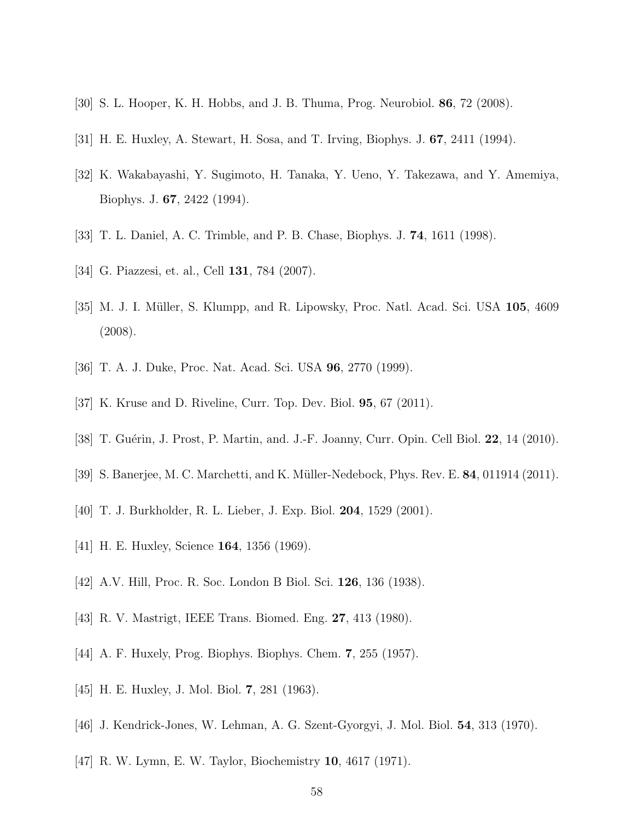- [30] S. L. Hooper, K. H. Hobbs, and J. B. Thuma, Prog. Neurobiol. 86, 72 (2008).
- [31] H. E. Huxley, A. Stewart, H. Sosa, and T. Irving, Biophys. J. 67, 2411 (1994).
- [32] K. Wakabayashi, Y. Sugimoto, H. Tanaka, Y. Ueno, Y. Takezawa, and Y. Amemiya, Biophys. J. 67, 2422 (1994).
- [33] T. L. Daniel, A. C. Trimble, and P. B. Chase, Biophys. J. 74, 1611 (1998).
- [34] G. Piazzesi, et. al., Cell 131, 784 (2007).
- [35] M. J. I. Müller, S. Klumpp, and R. Lipowsky, Proc. Natl. Acad. Sci. USA 105, 4609 (2008).
- [36] T. A. J. Duke, Proc. Nat. Acad. Sci. USA 96, 2770 (1999).
- [37] K. Kruse and D. Riveline, Curr. Top. Dev. Biol. 95, 67 (2011).
- [38] T. Guérin, J. Prost, P. Martin, and. J.-F. Joanny, Curr. Opin. Cell Biol. 22, 14 (2010).
- [39] S. Banerjee, M. C. Marchetti, and K. M¨uller-Nedebock, Phys. Rev. E. 84, 011914 (2011).
- [40] T. J. Burkholder, R. L. Lieber, J. Exp. Biol. 204, 1529 (2001).
- [41] H. E. Huxley, Science 164, 1356 (1969).
- [42] A.V. Hill, Proc. R. Soc. London B Biol. Sci. 126, 136 (1938).
- [43] R. V. Mastrigt, IEEE Trans. Biomed. Eng. 27, 413 (1980).
- [44] A. F. Huxely, Prog. Biophys. Biophys. Chem. 7, 255 (1957).
- [45] H. E. Huxley, J. Mol. Biol. 7, 281 (1963).
- [46] J. Kendrick-Jones, W. Lehman, A. G. Szent-Gyorgyi, J. Mol. Biol. 54, 313 (1970).
- [47] R. W. Lymn, E. W. Taylor, Biochemistry 10, 4617 (1971).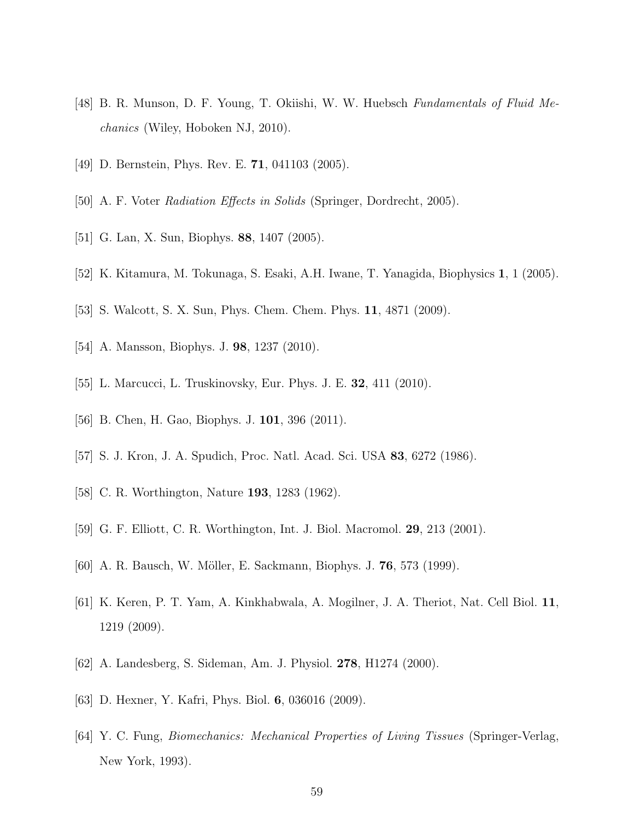- [48] B. R. Munson, D. F. Young, T. Okiishi, W. W. Huebsch Fundamentals of Fluid Mechanics (Wiley, Hoboken NJ, 2010).
- [49] D. Bernstein, Phys. Rev. E. **71**, 041103 (2005).
- [50] A. F. Voter Radiation Effects in Solids (Springer, Dordrecht, 2005).
- [51] G. Lan, X. Sun, Biophys. 88, 1407 (2005).
- [52] K. Kitamura, M. Tokunaga, S. Esaki, A.H. Iwane, T. Yanagida, Biophysics 1, 1 (2005).
- [53] S. Walcott, S. X. Sun, Phys. Chem. Chem. Phys. 11, 4871 (2009).
- [54] A. Mansson, Biophys. J. **98**, 1237 (2010).
- [55] L. Marcucci, L. Truskinovsky, Eur. Phys. J. E. **32**, 411 (2010).
- [56] B. Chen, H. Gao, Biophys. J. **101**, 396 (2011).
- [57] S. J. Kron, J. A. Spudich, Proc. Natl. Acad. Sci. USA 83, 6272 (1986).
- [58] C. R. Worthington, Nature **193**, 1283 (1962).
- [59] G. F. Elliott, C. R. Worthington, Int. J. Biol. Macromol. 29, 213 (2001).
- [60] A. R. Bausch, W. Möller, E. Sackmann, Biophys. J. **76**, 573 (1999).
- [61] K. Keren, P. T. Yam, A. Kinkhabwala, A. Mogilner, J. A. Theriot, Nat. Cell Biol. 11, 1219 (2009).
- [62] A. Landesberg, S. Sideman, Am. J. Physiol. 278, H1274 (2000).
- [63] D. Hexner, Y. Kafri, Phys. Biol. 6, 036016 (2009).
- [64] Y. C. Fung, *Biomechanics: Mechanical Properties of Living Tissues* (Springer-Verlag, New York, 1993).